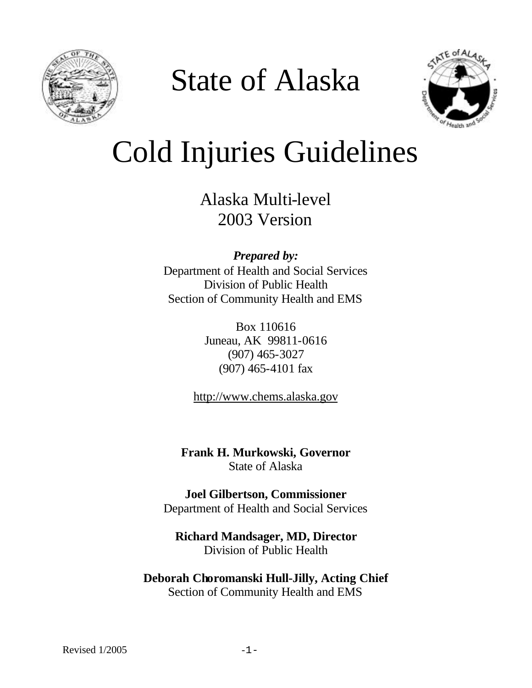

# State of Alaska



# Cold Injuries Guidelines

Alaska Multi-level 2003 Version

*Prepared by:* Department of Health and Social Services Division of Public Health Section of Community Health and EMS

> Box 110616 Juneau, AK 99811-0616 (907) 465-3027 (907) 465-4101 fax

http://www.chems.alaska.gov

**Frank H. Murkowski, Governor** State of Alaska

**Joel Gilbertson, Commissioner** Department of Health and Social Services

**Richard Mandsager, MD, Director** Division of Public Health

**Deborah Choromanski Hull-Jilly, Acting Chief** Section of Community Health and EMS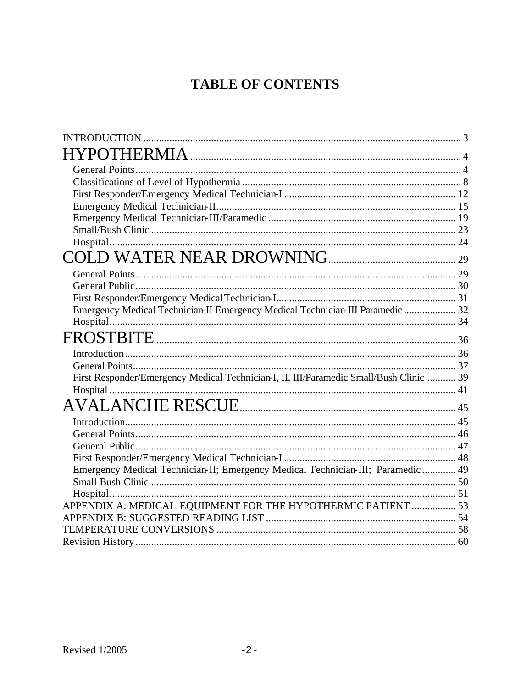### **TABLE OF CONTENTS**

| Emergency Medical Technician-II Emergency Medical Technician-III Paramedic  32          |  |
|-----------------------------------------------------------------------------------------|--|
|                                                                                         |  |
|                                                                                         |  |
|                                                                                         |  |
|                                                                                         |  |
| First Responder/Emergency Medical Technician-I, II, III/Paramedic Small/Bush Clinic  39 |  |
|                                                                                         |  |
|                                                                                         |  |
|                                                                                         |  |
|                                                                                         |  |
|                                                                                         |  |
|                                                                                         |  |
| Emergency Medical Technician-II; Emergency Medical Technician-III; Paramedic  49        |  |
|                                                                                         |  |
|                                                                                         |  |
| APPENDIX A: MEDICAL EQUIPMENT FOR THE HYPOTHERMIC PATIENT  53                           |  |
|                                                                                         |  |
|                                                                                         |  |
|                                                                                         |  |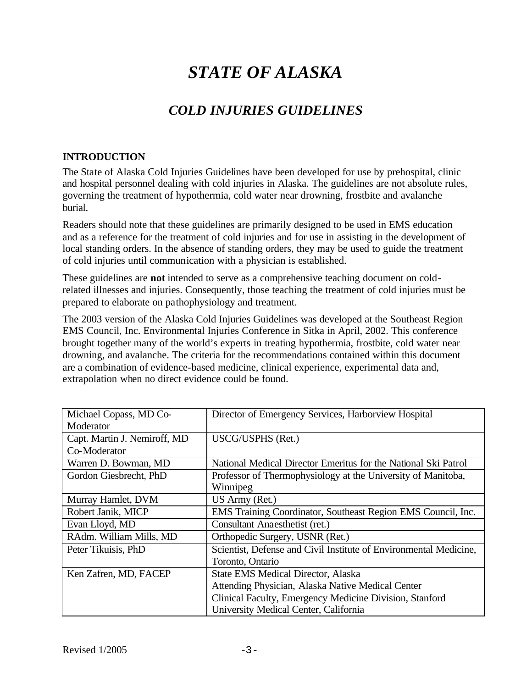# *STATE OF ALASKA*

### *COLD INJURIES GUIDELINES*

#### **INTRODUCTION**

The State of Alaska Cold Injuries Guidelines have been developed for use by prehospital, clinic and hospital personnel dealing with cold injuries in Alaska. The guidelines are not absolute rules, governing the treatment of hypothermia, cold water near drowning, frostbite and avalanche burial.

Readers should note that these guidelines are primarily designed to be used in EMS education and as a reference for the treatment of cold injuries and for use in assisting in the development of local standing orders. In the absence of standing orders, they may be used to guide the treatment of cold injuries until communication with a physician is established.

These guidelines are **not** intended to serve as a comprehensive teaching document on coldrelated illnesses and injuries. Consequently, those teaching the treatment of cold injuries must be prepared to elaborate on pathophysiology and treatment.

The 2003 version of the Alaska Cold Injuries Guidelines was developed at the Southeast Region EMS Council, Inc. Environmental Injuries Conference in Sitka in April, 2002. This conference brought together many of the world's experts in treating hypothermia, frostbite, cold water near drowning, and avalanche. The criteria for the recommendations contained within this document are a combination of evidence-based medicine, clinical experience, experimental data and, extrapolation when no direct evidence could be found.

| Michael Copass, MD Co-       | Director of Emergency Services, Harborview Hospital               |
|------------------------------|-------------------------------------------------------------------|
| Moderator                    |                                                                   |
| Capt. Martin J. Nemiroff, MD | USCG/USPHS (Ret.)                                                 |
| Co-Moderator                 |                                                                   |
| Warren D. Bowman, MD         | National Medical Director Emeritus for the National Ski Patrol    |
| Gordon Giesbrecht, PhD       | Professor of Thermophysiology at the University of Manitoba,      |
|                              | Winnipeg                                                          |
| Murray Hamlet, DVM           | US Army (Ret.)                                                    |
| Robert Janik, MICP           | EMS Training Coordinator, Southeast Region EMS Council, Inc.      |
| Evan Lloyd, MD               | Consultant Anaesthetist (ret.)                                    |
| RAdm. William Mills, MD      | Orthopedic Surgery, USNR (Ret.)                                   |
| Peter Tikuisis, PhD          | Scientist, Defense and Civil Institute of Environmental Medicine, |
|                              | Toronto, Ontario                                                  |
| Ken Zafren, MD, FACEP        | <b>State EMS Medical Director, Alaska</b>                         |
|                              | Attending Physician, Alaska Native Medical Center                 |
|                              | Clinical Faculty, Emergency Medicine Division, Stanford           |
|                              | University Medical Center, California                             |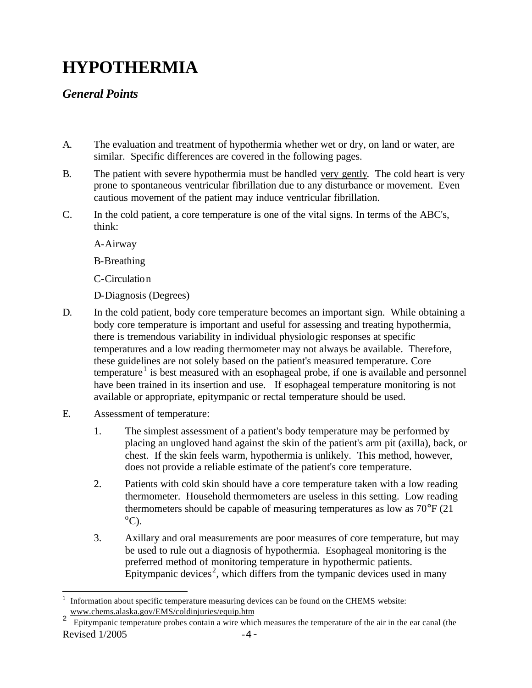# **HYPOTHERMIA**

#### *General Points*

- A. The evaluation and treatment of hypothermia whether wet or dry, on land or water, are similar. Specific differences are covered in the following pages.
- B. The patient with severe hypothermia must be handled very gently. The cold heart is very prone to spontaneous ventricular fibrillation due to any disturbance or movement. Even cautious movement of the patient may induce ventricular fibrillation.
- C. In the cold patient, a core temperature is one of the vital signs. In terms of the ABC's, think:

A-Airway

B-Breathing

C-Circulation

D-Diagnosis (Degrees)

- D. In the cold patient, body core temperature becomes an important sign. While obtaining a body core temperature is important and useful for assessing and treating hypothermia, there is tremendous variability in individual physiologic responses at specific temperatures and a low reading thermometer may not always be available. Therefore, these guidelines are not solely based on the patient's measured temperature. Core  $temperature<sup>1</sup>$  is best measured with an esophageal probe, if one is available and personnel have been trained in its insertion and use. If esophageal temperature monitoring is not available or appropriate, epitympanic or rectal temperature should be used.
- E. Assessment of temperature:
	- 1. The simplest assessment of a patient's body temperature may be performed by placing an ungloved hand against the skin of the patient's arm pit (axilla), back, or chest. If the skin feels warm, hypothermia is unlikely. This method, however, does not provide a reliable estimate of the patient's core temperature.
	- 2. Patients with cold skin should have a core temperature taken with a low reading thermometer. Household thermometers are useless in this setting. Low reading thermometers should be capable of measuring temperatures as low as  $70^{\circ}$ F (21)  $^{\circ}$ C).
	- 3. Axillary and oral measurements are poor measures of core temperature, but may be used to rule out a diagnosis of hypothermia. Esophageal monitoring is the preferred method of monitoring temperature in hypothermic patients. Epitympanic devices<sup>2</sup>, which differs from the tympanic devices used in many

 $\mathbf{r}$ 1 Information about specific temperature measuring devices can be found on the CHEMS website: www.chems.alaska.gov/EMS/coldinjuries/equip.htm

Revised  $1/2005$   $-4$   $-$ 2 Epitympanic temperature probes contain a wire which measures the temperature of the air in the ear canal (the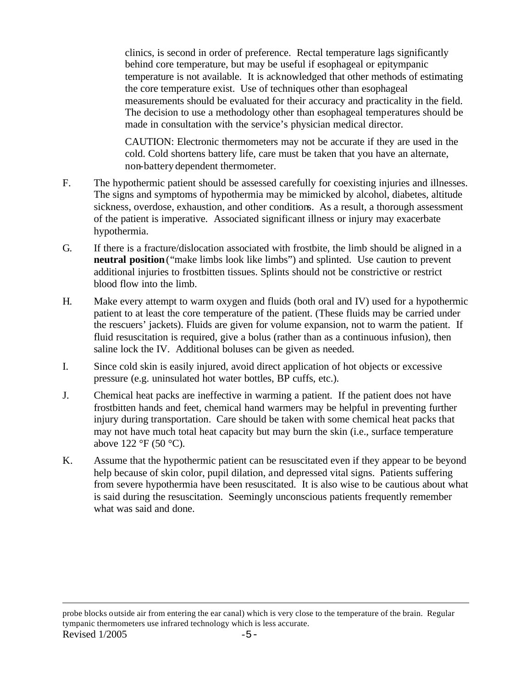clinics, is second in order of preference. Rectal temperature lags significantly behind core temperature, but may be useful if esophageal or epitympanic temperature is not available. It is acknowledged that other methods of estimating the core temperature exist. Use of techniques other than esophageal measurements should be evaluated for their accuracy and practicality in the field. The decision to use a methodology other than esophageal temperatures should be made in consultation with the service's physician medical director.

CAUTION: Electronic thermometers may not be accurate if they are used in the cold. Cold shortens battery life, care must be taken that you have an alternate, non-battery dependent thermometer.

- F. The hypothermic patient should be assessed carefully for coexisting injuries and illnesses. The signs and symptoms of hypothermia may be mimicked by alcohol, diabetes, altitude sickness, overdose, exhaustion, and other conditions. As a result, a thorough assessment of the patient is imperative. Associated significant illness or injury may exacerbate hypothermia.
- G. If there is a fracture/dislocation associated with frostbite, the limb should be aligned in a **neutral position** ("make limbs look like limbs") and splinted. Use caution to prevent additional injuries to frostbitten tissues. Splints should not be constrictive or restrict blood flow into the limb.
- H. Make every attempt to warm oxygen and fluids (both oral and IV) used for a hypothermic patient to at least the core temperature of the patient. (These fluids may be carried under the rescuers' jackets). Fluids are given for volume expansion, not to warm the patient. If fluid resuscitation is required, give a bolus (rather than as a continuous infusion), then saline lock the IV. Additional boluses can be given as needed.
- I. Since cold skin is easily injured, avoid direct application of hot objects or excessive pressure (e.g. uninsulated hot water bottles, BP cuffs, etc.).
- J. Chemical heat packs are ineffective in warming a patient. If the patient does not have frostbitten hands and feet, chemical hand warmers may be helpful in preventing further injury during transportation. Care should be taken with some chemical heat packs that may not have much total heat capacity but may burn the skin (i.e., surface temperature above 122 °F (50 °C).
- K. Assume that the hypothermic patient can be resuscitated even if they appear to be beyond help because of skin color, pupil dilation, and depressed vital signs. Patients suffering from severe hypothermia have been resuscitated. It is also wise to be cautious about what is said during the resuscitation. Seemingly unconscious patients frequently remember what was said and done.

Revised  $1/2005$  -5probe blocks outside air from entering the ear canal) which is very close to the temperature of the brain. Regular tympanic thermometers use infrared technology which is less accurate.

i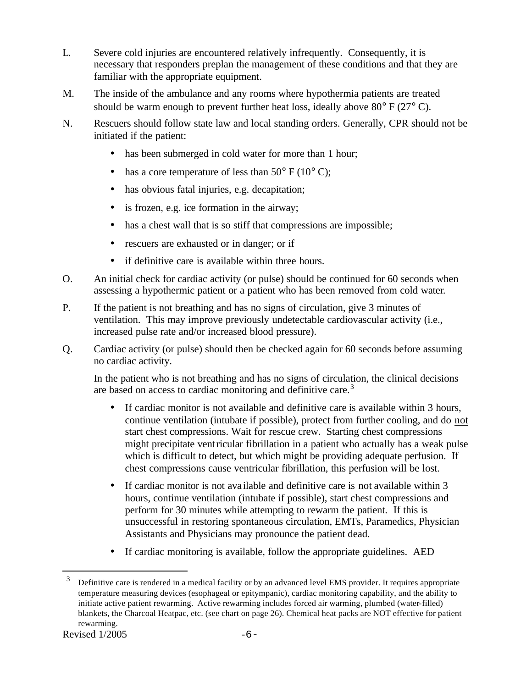- L. Severe cold injuries are encountered relatively infrequently. Consequently, it is necessary that responders preplan the management of these conditions and that they are familiar with the appropriate equipment.
- M. The inside of the ambulance and any rooms where hypothermia patients are treated should be warm enough to prevent further heat loss, ideally above  $80^{\circ}$  F (27 $^{\circ}$  C).
- N. Rescuers should follow state law and local standing orders. Generally, CPR should not be initiated if the patient:
	- has been submerged in cold water for more than 1 hour;
	- has a core temperature of less than  $50^{\circ}$  F ( $10^{\circ}$  C);
	- has obvious fatal injuries, e.g. decapitation;
	- is frozen, e.g. ice formation in the airway;
	- has a chest wall that is so stiff that compressions are impossible;
	- rescuers are exhausted or in danger; or if
	- if definitive care is available within three hours.
- O. An initial check for cardiac activity (or pulse) should be continued for 60 seconds when assessing a hypothermic patient or a patient who has been removed from cold water.
- P. If the patient is not breathing and has no signs of circulation, give 3 minutes of ventilation. This may improve previously undetectable cardiovascular activity (i.e., increased pulse rate and/or increased blood pressure).
- Q. Cardiac activity (or pulse) should then be checked again for 60 seconds before assuming no cardiac activity.

In the patient who is not breathing and has no signs of circulation, the clinical decisions are based on access to cardiac monitoring and definitive care.<sup>3</sup>

- If cardiac monitor is not available and definitive care is available within 3 hours, continue ventilation (intubate if possible), protect from further cooling, and do not start chest compressions. Wait for rescue crew. Starting chest compressions might precipitate ventricular fibrillation in a patient who actually has a weak pulse which is difficult to detect, but which might be providing adequate perfusion. If chest compressions cause ventricular fibrillation, this perfusion will be lost.
- If cardiac monitor is not available and definitive care is not available within 3 hours, continue ventilation (intubate if possible), start chest compressions and perform for 30 minutes while attempting to rewarm the patient. If this is unsuccessful in restoring spontaneous circulation, EMTs, Paramedics, Physician Assistants and Physicians may pronounce the patient dead.
- If cardiac monitoring is available, follow the appropriate guidelines. AED

i

<sup>&</sup>lt;sup>3</sup> Definitive care is rendered in a medical facility or by an advanced level EMS provider. It requires appropriate temperature measuring devices (esophageal or epitympanic), cardiac monitoring capability, and the ability to initiate active patient rewarming. Active rewarming includes forced air warming, plumbed (water-filled) blankets, the Charcoal Heatpac, etc. (see chart on page 26). Chemical heat packs are NOT effective for patient rewarming.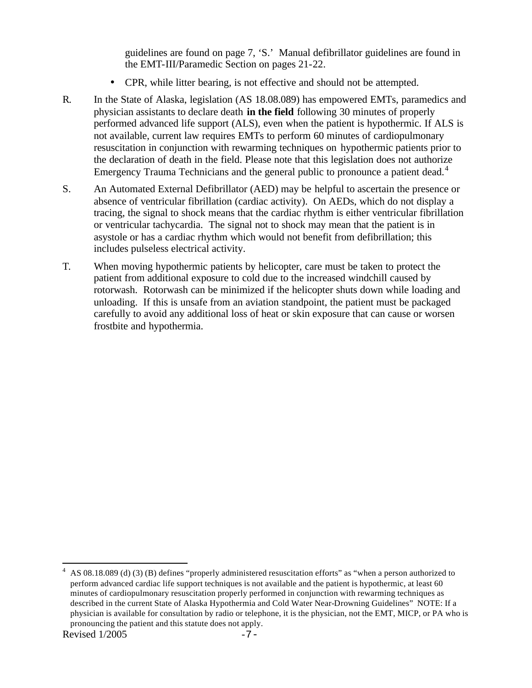guidelines are found on page 7, 'S.' Manual defibrillator guidelines are found in the EMT-III/Paramedic Section on pages 21-22.

- CPR, while litter bearing, is not effective and should not be attempted.
- R. In the State of Alaska, legislation (AS 18.08.089) has empowered EMTs, paramedics and physician assistants to declare death **in the field** following 30 minutes of properly performed advanced life support (ALS), even when the patient is hypothermic. If ALS is not available, current law requires EMTs to perform 60 minutes of cardiopulmonary resuscitation in conjunction with rewarming techniques on hypothermic patients prior to the declaration of death in the field. Please note that this legislation does not authorize Emergency Trauma Technicians and the general public to pronounce a patient dead.<sup>4</sup>
- S. An Automated External Defibrillator (AED) may be helpful to ascertain the presence or absence of ventricular fibrillation (cardiac activity). On AEDs, which do not display a tracing, the signal to shock means that the cardiac rhythm is either ventricular fibrillation or ventricular tachycardia. The signal not to shock may mean that the patient is in asystole or has a cardiac rhythm which would not benefit from defibrillation; this includes pulseless electrical activity.
- T. When moving hypothermic patients by helicopter, care must be taken to protect the patient from additional exposure to cold due to the increased windchill caused by rotorwash. Rotorwash can be minimized if the helicopter shuts down while loading and unloading. If this is unsafe from an aviation standpoint, the patient must be packaged carefully to avoid any additional loss of heat or skin exposure that can cause or worsen frostbite and hypothermia.

J.

 $4$  AS 08.18.089 (d) (3) (B) defines "properly administered resuscitation efforts" as "when a person authorized to perform advanced cardiac life support techniques is not available and the patient is hypothermic, at least 60 minutes of cardiopulmonary resuscitation properly performed in conjunction with rewarming techniques as described in the current State of Alaska Hypothermia and Cold Water Near-Drowning Guidelines" NOTE: If a physician is available for consultation by radio or telephone, it is the physician, not the EMT, MICP, or PA who is pronouncing the patient and this statute does not apply.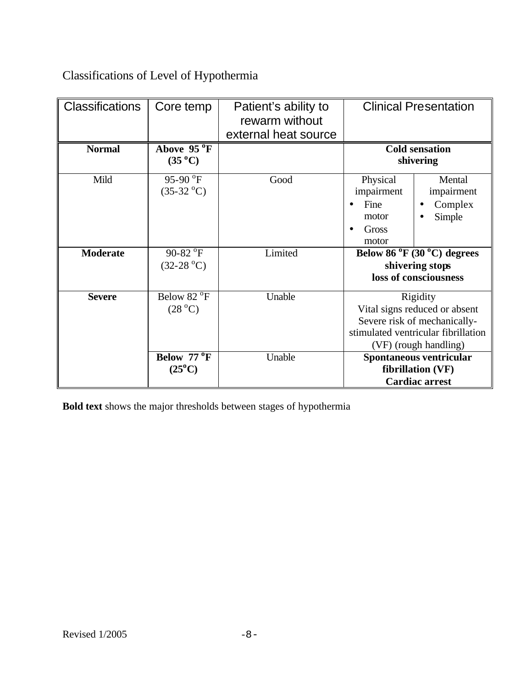Classifications of Level of Hypothermia

| <b>Classifications</b> | Core temp                                      | Patient's ability to<br>rewarm without<br>external heat source | <b>Clinical Presentation</b>                                                                                                              |  |
|------------------------|------------------------------------------------|----------------------------------------------------------------|-------------------------------------------------------------------------------------------------------------------------------------------|--|
| <b>Normal</b>          | Above 95 °F<br>$(35\text{ °C})$                |                                                                | <b>Cold sensation</b><br>shivering                                                                                                        |  |
| Mild                   | 95-90 $^{\circ}$ F<br>$(35-32 \degree C)$      | Good                                                           | Physical<br>Mental<br>impairment<br>impairment<br>Fine<br>Complex<br>Simple<br>motor<br>$\bullet$<br>Gross<br>motor                       |  |
| <b>Moderate</b>        | 90-82 $\mathrm{^oF}$<br>$(32-28\text{ °C})$    | Limited                                                        | Below 86 $\rm{^0F}$ (30 $\rm{^0C}$ ) degrees<br>shivering stops<br>loss of consciousness                                                  |  |
| <b>Severe</b>          | Below 82 °F<br>$(28\text{ °C})$<br>Below 77 °F | Unable                                                         | Rigidity<br>Vital signs reduced or absent<br>Severe risk of mechanically-<br>stimulated ventricular fibrillation<br>(VF) (rough handling) |  |
|                        | $(25^{\circ}C)$                                | Unable                                                         | Spontaneous ventricular<br>fibrillation (VF)<br><b>Cardiac arrest</b>                                                                     |  |

**Bold text** shows the major thresholds between stages of hypothermia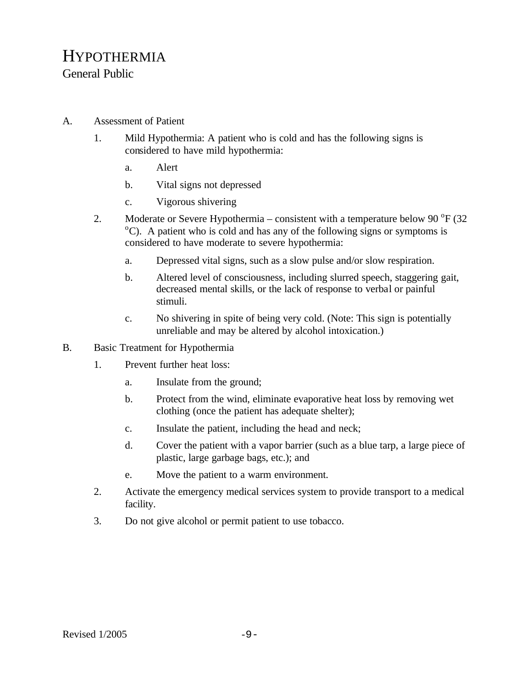### HYPOTHERMIA General Public

- A. Assessment of Patient
	- 1. Mild Hypothermia: A patient who is cold and has the following signs is considered to have mild hypothermia:
		- a. Alert
		- b. Vital signs not depressed
		- c. Vigorous shivering
	- 2. Moderate or Severe Hypothermia consistent with a temperature below 90  $\mathrm{^{\circ}F}$  (32  $\rm ^{o}C$ ). A patient who is cold and has any of the following signs or symptoms is considered to have moderate to severe hypothermia:
		- a. Depressed vital signs, such as a slow pulse and/or slow respiration.
		- b. Altered level of consciousness, including slurred speech, staggering gait, decreased mental skills, or the lack of response to verbal or painful stimuli.
		- c. No shivering in spite of being very cold. (Note: This sign is potentially unreliable and may be altered by alcohol intoxication.)
- B. Basic Treatment for Hypothermia
	- 1. Prevent further heat loss:
		- a. Insulate from the ground;
		- b. Protect from the wind, eliminate evaporative heat loss by removing wet clothing (once the patient has adequate shelter);
		- c. Insulate the patient, including the head and neck;
		- d. Cover the patient with a vapor barrier (such as a blue tarp, a large piece of plastic, large garbage bags, etc.); and
		- e. Move the patient to a warm environment.
	- 2. Activate the emergency medical services system to provide transport to a medical facility.
	- 3. Do not give alcohol or permit patient to use tobacco.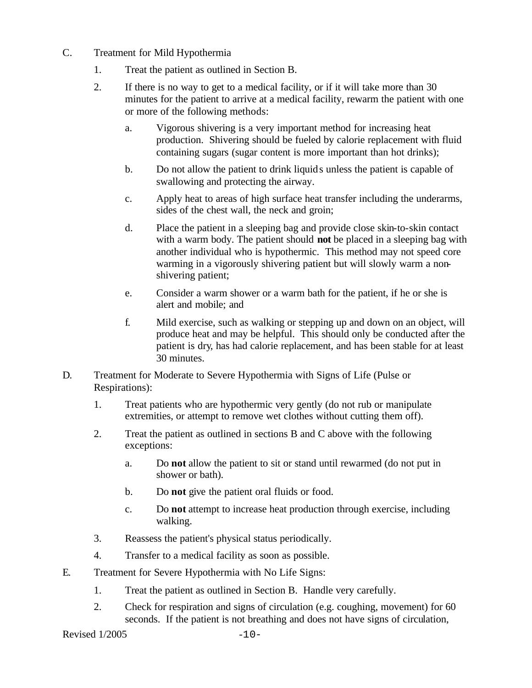- C. Treatment for Mild Hypothermia
	- 1. Treat the patient as outlined in Section B.
	- 2. If there is no way to get to a medical facility, or if it will take more than 30 minutes for the patient to arrive at a medical facility, rewarm the patient with one or more of the following methods:
		- a. Vigorous shivering is a very important method for increasing heat production. Shivering should be fueled by calorie replacement with fluid containing sugars (sugar content is more important than hot drinks);
		- b. Do not allow the patient to drink liquids unless the patient is capable of swallowing and protecting the airway.
		- c. Apply heat to areas of high surface heat transfer including the underarms, sides of the chest wall, the neck and groin;
		- d. Place the patient in a sleeping bag and provide close skin-to-skin contact with a warm body. The patient should **not** be placed in a sleeping bag with another individual who is hypothermic. This method may not speed core warming in a vigorously shivering patient but will slowly warm a nonshivering patient;
		- e. Consider a warm shower or a warm bath for the patient, if he or she is alert and mobile; and
		- f. Mild exercise, such as walking or stepping up and down on an object, will produce heat and may be helpful. This should only be conducted after the patient is dry, has had calorie replacement, and has been stable for at least 30 minutes.
- D. Treatment for Moderate to Severe Hypothermia with Signs of Life (Pulse or Respirations):
	- 1. Treat patients who are hypothermic very gently (do not rub or manipulate extremities, or attempt to remove wet clothes without cutting them off).
	- 2. Treat the patient as outlined in sections B and C above with the following exceptions:
		- a. Do **not** allow the patient to sit or stand until rewarmed (do not put in shower or bath).
		- b. Do **not** give the patient oral fluids or food.
		- c. Do **not** attempt to increase heat production through exercise, including walking.
	- 3. Reassess the patient's physical status periodically.
	- 4. Transfer to a medical facility as soon as possible.
- E. Treatment for Severe Hypothermia with No Life Signs:
	- 1. Treat the patient as outlined in Section B. Handle very carefully.
	- 2. Check for respiration and signs of circulation (e.g. coughing, movement) for 60 seconds. If the patient is not breathing and does not have signs of circulation,

Revised 1/2005 -10-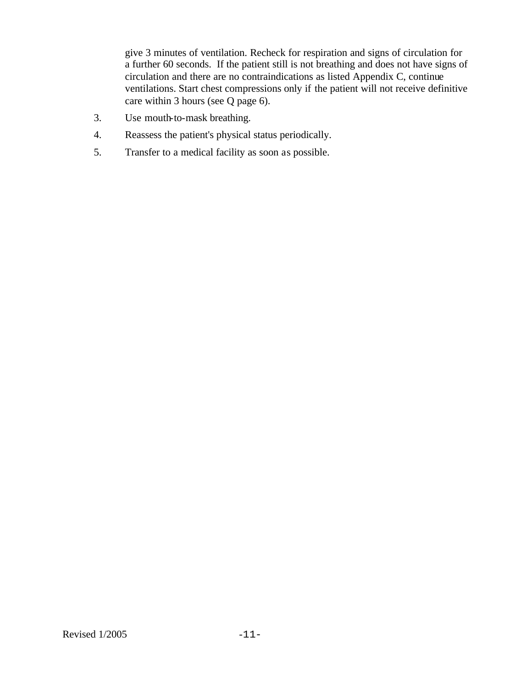give 3 minutes of ventilation. Recheck for respiration and signs of circulation for a further 60 seconds. If the patient still is not breathing and does not have signs of circulation and there are no contraindications as listed Appendix C, continue ventilations. Start chest compressions only if the patient will not receive definitive care within 3 hours (see Q page 6).

- 3. Use mouth-to-mask breathing.
- 4. Reassess the patient's physical status periodically.
- 5. Transfer to a medical facility as soon as possible.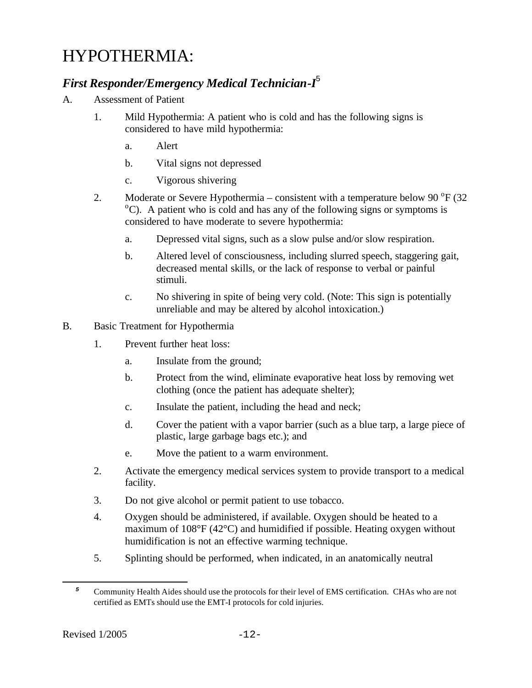## HYPOTHERMIA:

### *First Responder/Emergency Medical Technician-I* 5

#### A. Assessment of Patient

- 1. Mild Hypothermia: A patient who is cold and has the following signs is considered to have mild hypothermia:
	- a. Alert
	- b. Vital signs not depressed
	- c. Vigorous shivering
- 2. Moderate or Severe Hypothermia consistent with a temperature below 90  $\mathrm{^{\circ}F}$  (32  $^{\circ}$ C). A patient who is cold and has any of the following signs or symptoms is considered to have moderate to severe hypothermia:
	- a. Depressed vital signs, such as a slow pulse and/or slow respiration.
	- b. Altered level of consciousness, including slurred speech, staggering gait, decreased mental skills, or the lack of response to verbal or painful stimuli.
	- c. No shivering in spite of being very cold. (Note: This sign is potentially unreliable and may be altered by alcohol intoxication.)

#### B. Basic Treatment for Hypothermia

- 1. Prevent further heat loss:
	- a. Insulate from the ground;
	- b. Protect from the wind, eliminate evaporative heat loss by removing wet clothing (once the patient has adequate shelter);
	- c. Insulate the patient, including the head and neck;
	- d. Cover the patient with a vapor barrier (such as a blue tarp, a large piece of plastic, large garbage bags etc.); and
	- e. Move the patient to a warm environment.
- 2. Activate the emergency medical services system to provide transport to a medical facility.
- 3. Do not give alcohol or permit patient to use tobacco.
- 4. Oxygen should be administered, if available. Oxygen should be heated to a maximum of 108°F (42°C) and humidified if possible. Heating oxygen without humidification is not an effective warming technique.
- 5. Splinting should be performed, when indicated, in an anatomically neutral

i

*<sup>5</sup>* Community Health Aides should use the protocols for their level of EMS certification. CHAs who are not certified as EMTs should use the EMT-I protocols for cold injuries.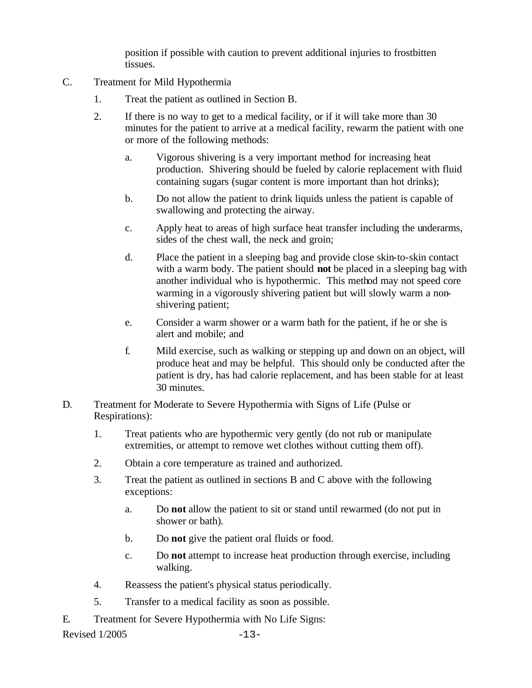position if possible with caution to prevent additional injuries to frostbitten tissues.

- C. Treatment for Mild Hypothermia
	- 1. Treat the patient as outlined in Section B.
	- 2. If there is no way to get to a medical facility, or if it will take more than 30 minutes for the patient to arrive at a medical facility, rewarm the patient with one or more of the following methods:
		- a. Vigorous shivering is a very important method for increasing heat production. Shivering should be fueled by calorie replacement with fluid containing sugars (sugar content is more important than hot drinks);
		- b. Do not allow the patient to drink liquids unless the patient is capable of swallowing and protecting the airway.
		- c. Apply heat to areas of high surface heat transfer including the underarms, sides of the chest wall, the neck and groin;
		- d. Place the patient in a sleeping bag and provide close skin-to-skin contact with a warm body. The patient should **not** be placed in a sleeping bag with another individual who is hypothermic. This method may not speed core warming in a vigorously shivering patient but will slowly warm a nonshivering patient;
		- e. Consider a warm shower or a warm bath for the patient, if he or she is alert and mobile; and
		- f. Mild exercise, such as walking or stepping up and down on an object, will produce heat and may be helpful. This should only be conducted after the patient is dry, has had calorie replacement, and has been stable for at least 30 minutes.
- D. Treatment for Moderate to Severe Hypothermia with Signs of Life (Pulse or Respirations):
	- 1. Treat patients who are hypothermic very gently (do not rub or manipulate extremities, or attempt to remove wet clothes without cutting them off).
	- 2. Obtain a core temperature as trained and authorized.
	- 3. Treat the patient as outlined in sections B and C above with the following exceptions:
		- a. Do **not** allow the patient to sit or stand until rewarmed (do not put in shower or bath).
		- b. Do **not** give the patient oral fluids or food.
		- c. Do **not** attempt to increase heat production through exercise, including walking.
	- 4. Reassess the patient's physical status periodically.
	- 5. Transfer to a medical facility as soon as possible.
- E. Treatment for Severe Hypothermia with No Life Signs:

Revised 1/2005 -13-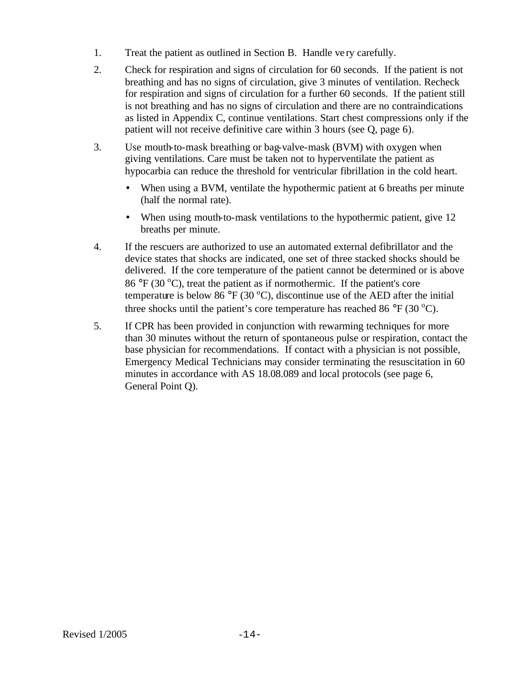- 1. Treat the patient as outlined in Section B. Handle ve ry carefully.
- 2. Check for respiration and signs of circulation for 60 seconds. If the patient is not breathing and has no signs of circulation, give 3 minutes of ventilation. Recheck for respiration and signs of circulation for a further 60 seconds. If the patient still is not breathing and has no signs of circulation and there are no contraindications as listed in Appendix C, continue ventilations. Start chest compressions only if the patient will not receive definitive care within 3 hours (see Q, page 6).
- 3. Use mouth-to-mask breathing or bag-valve-mask (BVM) with oxygen when giving ventilations. Care must be taken not to hyperventilate the patient as hypocarbia can reduce the threshold for ventricular fibrillation in the cold heart.
	- When using a BVM, ventilate the hypothermic patient at 6 breaths per minute (half the normal rate).
	- When using mouth-to-mask ventilations to the hypothermic patient, give 12 breaths per minute.
- 4. If the rescuers are authorized to use an automated external defibrillator and the device states that shocks are indicated, one set of three stacked shocks should be delivered. If the core temperature of the patient cannot be determined or is above  $86 \text{ °F}$  (30  $\text{ °C}$ ), treat the patient as if normothermic. If the patient's core temperature is below 86  $\rm{^{\circ}F}$  (30  $\rm{^{\circ}C}$ ), discontinue use of the AED after the initial three shocks until the patient's core temperature has reached 86  $\degree$ F (30  $\degree$ C).
- 5. If CPR has been provided in conjunction with rewarming techniques for more than 30 minutes without the return of spontaneous pulse or respiration, contact the base physician for recommendations. If contact with a physician is not possible, Emergency Medical Technicians may consider terminating the resuscitation in 60 minutes in accordance with AS 18.08.089 and local protocols (see page 6, General Point Q).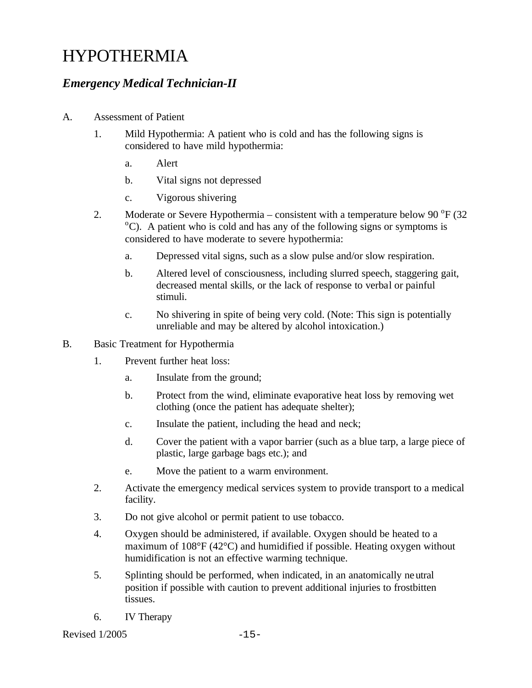# HYPOTHERMIA

#### *Emergency Medical Technician-II*

- A. Assessment of Patient
	- 1. Mild Hypothermia: A patient who is cold and has the following signs is considered to have mild hypothermia:
		- a. Alert
		- b. Vital signs not depressed
		- c. Vigorous shivering
	- 2. Moderate or Severe Hypothermia consistent with a temperature below 90  $\mathrm{^{\circ}F}$  (32  $\rm ^{o}C$ ). A patient who is cold and has any of the following signs or symptoms is considered to have moderate to severe hypothermia:
		- a. Depressed vital signs, such as a slow pulse and/or slow respiration.
		- b. Altered level of consciousness, including slurred speech, staggering gait, decreased mental skills, or the lack of response to verbal or painful stimuli.
		- c. No shivering in spite of being very cold. (Note: This sign is potentially unreliable and may be altered by alcohol intoxication.)
- B. Basic Treatment for Hypothermia
	- 1. Prevent further heat loss:
		- a. Insulate from the ground;
		- b. Protect from the wind, eliminate evaporative heat loss by removing wet clothing (once the patient has adequate shelter);
		- c. Insulate the patient, including the head and neck;
		- d. Cover the patient with a vapor barrier (such as a blue tarp, a large piece of plastic, large garbage bags etc.); and
		- e. Move the patient to a warm environment.
	- 2. Activate the emergency medical services system to provide transport to a medical facility.
	- 3. Do not give alcohol or permit patient to use tobacco.
	- 4. Oxygen should be administered, if available. Oxygen should be heated to a maximum of 108°F (42°C) and humidified if possible. Heating oxygen without humidification is not an effective warming technique.
	- 5. Splinting should be performed, when indicated, in an anatomically neutral position if possible with caution to prevent additional injuries to frostbitten tissues.
	- 6. IV Therapy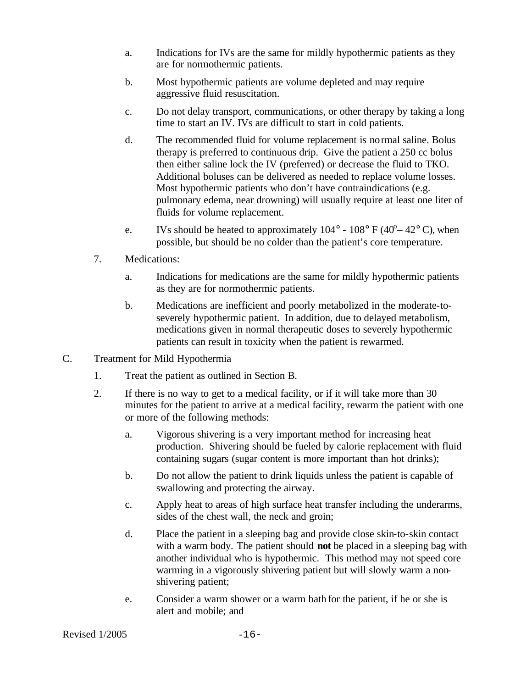- a. Indications for IVs are the same for mildly hypothermic patients as they are for normothermic patients.
- b. Most hypothermic patients are volume depleted and may require aggressive fluid resuscitation.
- c. Do not delay transport, communications, or other therapy by taking a long time to start an IV. IVs are difficult to start in cold patients.
- d. The recommended fluid for volume replacement is normal saline. Bolus therapy is preferred to continuous drip. Give the patient a 250 cc bolus then either saline lock the IV (preferred) or decrease the fluid to TKO. Additional boluses can be delivered as needed to replace volume losses. Most hypothermic patients who don't have contraindications (e.g. pulmonary edema, near drowning) will usually require at least one liter of fluids for volume replacement.
- e. IVs should be heated to approximately  $104^{\circ}$   $108^{\circ}$  F ( $40^{\circ}$   $42^{\circ}$  C), when possible, but should be no colder than the patient's core temperature.
- 7. Medications:
	- a. Indications for medications are the same for mildly hypothermic patients as they are for normothermic patients.
	- b. Medications are inefficient and poorly metabolized in the moderate-toseverely hypothermic patient. In addition, due to delayed metabolism, medications given in normal therapeutic doses to severely hypothermic patients can result in toxicity when the patient is rewarmed.
- C. Treatment for Mild Hypothermia
	- 1. Treat the patient as outlined in Section B.
	- 2. If there is no way to get to a medical facility, or if it will take more than 30 minutes for the patient to arrive at a medical facility, rewarm the patient with one or more of the following methods:
		- a. Vigorous shivering is a very important method for increasing heat production. Shivering should be fueled by calorie replacement with fluid containing sugars (sugar content is more important than hot drinks);
		- b. Do not allow the patient to drink liquids unless the patient is capable of swallowing and protecting the airway.
		- c. Apply heat to areas of high surface heat transfer including the underarms, sides of the chest wall, the neck and groin;
		- d. Place the patient in a sleeping bag and provide close skin-to-skin contact with a warm body. The patient should **not** be placed in a sleeping bag with another individual who is hypothermic. This method may not speed core warming in a vigorously shivering patient but will slowly warm a nonshivering patient;
		- e. Consider a warm shower or a warm bath for the patient, if he or she is alert and mobile; and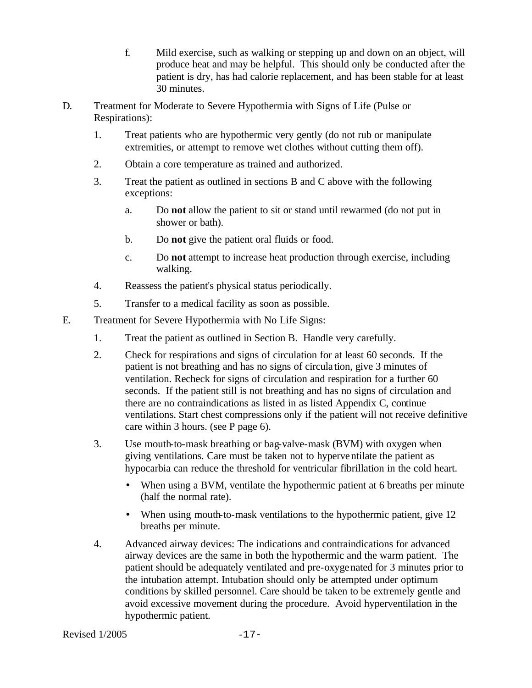- f. Mild exercise, such as walking or stepping up and down on an object, will produce heat and may be helpful. This should only be conducted after the patient is dry, has had calorie replacement, and has been stable for at least 30 minutes.
- D. Treatment for Moderate to Severe Hypothermia with Signs of Life (Pulse or Respirations):
	- 1. Treat patients who are hypothermic very gently (do not rub or manipulate extremities, or attempt to remove wet clothes without cutting them off).
	- 2. Obtain a core temperature as trained and authorized.
	- 3. Treat the patient as outlined in sections B and C above with the following exceptions:
		- a. Do **not** allow the patient to sit or stand until rewarmed (do not put in shower or bath).
		- b. Do **not** give the patient oral fluids or food.
		- c. Do **not** attempt to increase heat production through exercise, including walking.
	- 4. Reassess the patient's physical status periodically.
	- 5. Transfer to a medical facility as soon as possible.
- E. Treatment for Severe Hypothermia with No Life Signs:
	- 1. Treat the patient as outlined in Section B. Handle very carefully.
	- 2. Check for respirations and signs of circulation for at least 60 seconds. If the patient is not breathing and has no signs of circula tion, give 3 minutes of ventilation. Recheck for signs of circulation and respiration for a further 60 seconds. If the patient still is not breathing and has no signs of circulation and there are no contraindications as listed in as listed Appendix C, continue ventilations. Start chest compressions only if the patient will not receive definitive care within 3 hours. (see P page 6).
	- 3. Use mouth-to-mask breathing or bag-valve-mask (BVM) with oxygen when giving ventilations. Care must be taken not to hyperventilate the patient as hypocarbia can reduce the threshold for ventricular fibrillation in the cold heart.
		- When using a BVM, ventilate the hypothermic patient at 6 breaths per minute (half the normal rate).
		- When using mouth-to-mask ventilations to the hypothermic patient, give 12 breaths per minute.
	- 4. Advanced airway devices: The indications and contraindications for advanced airway devices are the same in both the hypothermic and the warm patient. The patient should be adequately ventilated and pre-oxygenated for 3 minutes prior to the intubation attempt. Intubation should only be attempted under optimum conditions by skilled personnel. Care should be taken to be extremely gentle and avoid excessive movement during the procedure. Avoid hyperventilation in the hypothermic patient.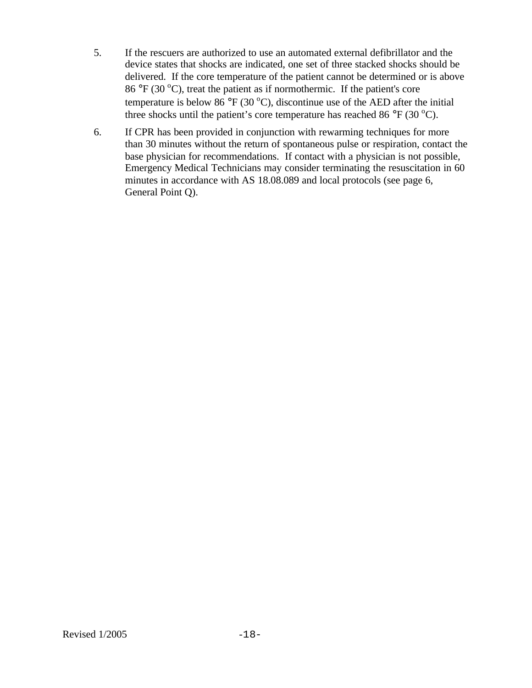- 5. If the rescuers are authorized to use an automated external defibrillator and the device states that shocks are indicated, one set of three stacked shocks should be delivered. If the core temperature of the patient cannot be determined or is above  $86 \text{ °F}$  (30  $\text{ °C}$ ), treat the patient as if normothermic. If the patient's core temperature is below 86  $\degree$ F (30  $\degree$ C), discontinue use of the AED after the initial three shocks until the patient's core temperature has reached 86  $\rm{°F}$  (30  $\rm{°C}$ ).
- 6. If CPR has been provided in conjunction with rewarming techniques for more than 30 minutes without the return of spontaneous pulse or respiration, contact the base physician for recommendations. If contact with a physician is not possible, Emergency Medical Technicians may consider terminating the resuscitation in 60 minutes in accordance with AS 18.08.089 and local protocols (see page 6, General Point Q).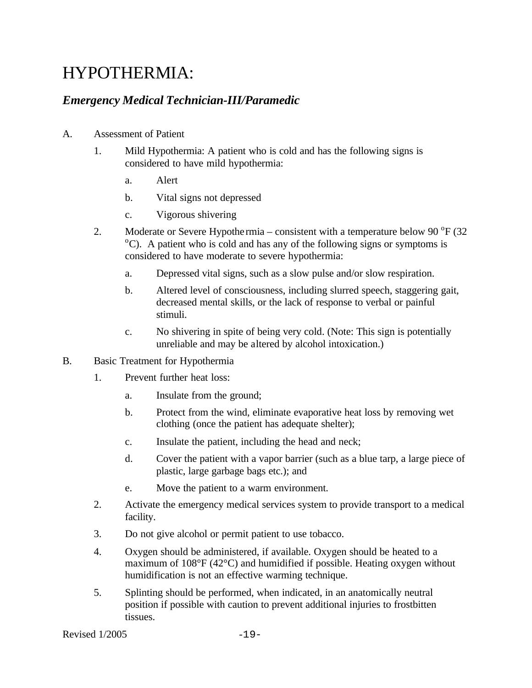### HYPOTHERMIA:

#### *Emergency Medical Technician-III/Paramedic*

- A. Assessment of Patient
	- 1. Mild Hypothermia: A patient who is cold and has the following signs is considered to have mild hypothermia:
		- a. Alert
		- b. Vital signs not depressed
		- c. Vigorous shivering
	- 2. Moderate or Severe Hypothermia consistent with a temperature below 90  $\mathrm{^{\circ}F}$  (32  $\rm ^{o}C$ ). A patient who is cold and has any of the following signs or symptoms is considered to have moderate to severe hypothermia:
		- a. Depressed vital signs, such as a slow pulse and/or slow respiration.
		- b. Altered level of consciousness, including slurred speech, staggering gait, decreased mental skills, or the lack of response to verbal or painful stimuli.
		- c. No shivering in spite of being very cold. (Note: This sign is potentially unreliable and may be altered by alcohol intoxication.)
- B. Basic Treatment for Hypothermia
	- 1. Prevent further heat loss:
		- a. Insulate from the ground;
		- b. Protect from the wind, eliminate evaporative heat loss by removing wet clothing (once the patient has adequate shelter);
		- c. Insulate the patient, including the head and neck;
		- d. Cover the patient with a vapor barrier (such as a blue tarp, a large piece of plastic, large garbage bags etc.); and
		- e. Move the patient to a warm environment.
	- 2. Activate the emergency medical services system to provide transport to a medical facility.
	- 3. Do not give alcohol or permit patient to use tobacco.
	- 4. Oxygen should be administered, if available. Oxygen should be heated to a maximum of 108°F (42°C) and humidified if possible. Heating oxygen without humidification is not an effective warming technique.
	- 5. Splinting should be performed, when indicated, in an anatomically neutral position if possible with caution to prevent additional injuries to frostbitten tissues.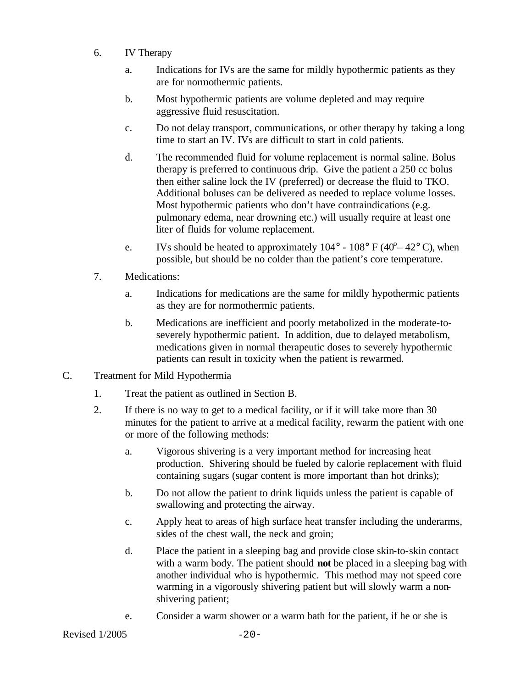- 6. IV Therapy
	- a. Indications for IVs are the same for mildly hypothermic patients as they are for normothermic patients.
	- b. Most hypothermic patients are volume depleted and may require aggressive fluid resuscitation.
	- c. Do not delay transport, communications, or other therapy by taking a long time to start an IV. IVs are difficult to start in cold patients.
	- d. The recommended fluid for volume replacement is normal saline. Bolus therapy is preferred to continuous drip. Give the patient a 250 cc bolus then either saline lock the IV (preferred) or decrease the fluid to TKO. Additional boluses can be delivered as needed to replace volume losses. Most hypothermic patients who don't have contraindications (e.g. pulmonary edema, near drowning etc.) will usually require at least one liter of fluids for volume replacement.
	- e. IVs should be heated to approximately  $104^{\circ}$   $108^{\circ}$  F ( $40^{\circ}$   $42^{\circ}$  C), when possible, but should be no colder than the patient's core temperature.
- 7. Medications:
	- a. Indications for medications are the same for mildly hypothermic patients as they are for normothermic patients.
	- b. Medications are inefficient and poorly metabolized in the moderate-toseverely hypothermic patient. In addition, due to delayed metabolism, medications given in normal therapeutic doses to severely hypothermic patients can result in toxicity when the patient is rewarmed.
- C. Treatment for Mild Hypothermia
	- 1. Treat the patient as outlined in Section B.
	- 2. If there is no way to get to a medical facility, or if it will take more than 30 minutes for the patient to arrive at a medical facility, rewarm the patient with one or more of the following methods:
		- a. Vigorous shivering is a very important method for increasing heat production. Shivering should be fueled by calorie replacement with fluid containing sugars (sugar content is more important than hot drinks);
		- b. Do not allow the patient to drink liquids unless the patient is capable of swallowing and protecting the airway.
		- c. Apply heat to areas of high surface heat transfer including the underarms, sides of the chest wall, the neck and groin;
		- d. Place the patient in a sleeping bag and provide close skin-to-skin contact with a warm body. The patient should **not** be placed in a sleeping bag with another individual who is hypothermic. This method may not speed core warming in a vigorously shivering patient but will slowly warm a nonshivering patient;
		- e. Consider a warm shower or a warm bath for the patient, if he or she is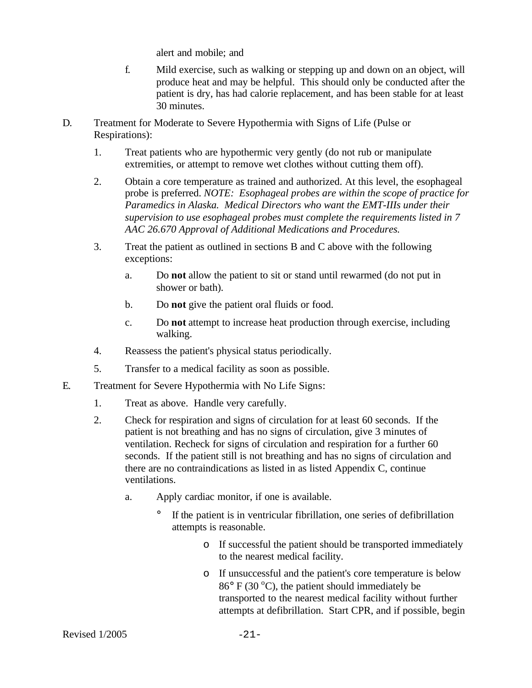alert and mobile; and

- f. Mild exercise, such as walking or stepping up and down on an object, will produce heat and may be helpful. This should only be conducted after the patient is dry, has had calorie replacement, and has been stable for at least 30 minutes.
- D. Treatment for Moderate to Severe Hypothermia with Signs of Life (Pulse or Respirations):
	- 1. Treat patients who are hypothermic very gently (do not rub or manipulate extremities, or attempt to remove wet clothes without cutting them off).
	- 2. Obtain a core temperature as trained and authorized. At this level, the esophageal probe is preferred. *NOTE: Esophageal probes are within the scope of practice for Paramedics in Alaska. Medical Directors who want the EMT-IIIs under their supervision to use esophageal probes must complete the requirements listed in 7 AAC 26.670 Approval of Additional Medications and Procedures.*
	- 3. Treat the patient as outlined in sections B and C above with the following exceptions:
		- a. Do **not** allow the patient to sit or stand until rewarmed (do not put in shower or bath).
		- b. Do **not** give the patient oral fluids or food.
		- c. Do **not** attempt to increase heat production through exercise, including walking.
	- 4. Reassess the patient's physical status periodically.
	- 5. Transfer to a medical facility as soon as possible.
- E. Treatment for Severe Hypothermia with No Life Signs:
	- 1. Treat as above. Handle very carefully.
	- 2. Check for respiration and signs of circulation for at least 60 seconds. If the patient is not breathing and has no signs of circulation, give 3 minutes of ventilation. Recheck for signs of circulation and respiration for a further 60 seconds. If the patient still is not breathing and has no signs of circulation and there are no contraindications as listed in as listed Appendix C, continue ventilations.
		- a. Apply cardiac monitor, if one is available.
			- If the patient is in ventricular fibrillation, one series of defibrillation attempts is reasonable.
				- o If successful the patient should be transported immediately to the nearest medical facility.
				- o If unsuccessful and the patient's core temperature is below  $86^{\circ}$  F (30  $^{\circ}$ C), the patient should immediately be transported to the nearest medical facility without further attempts at defibrillation. Start CPR, and if possible, begin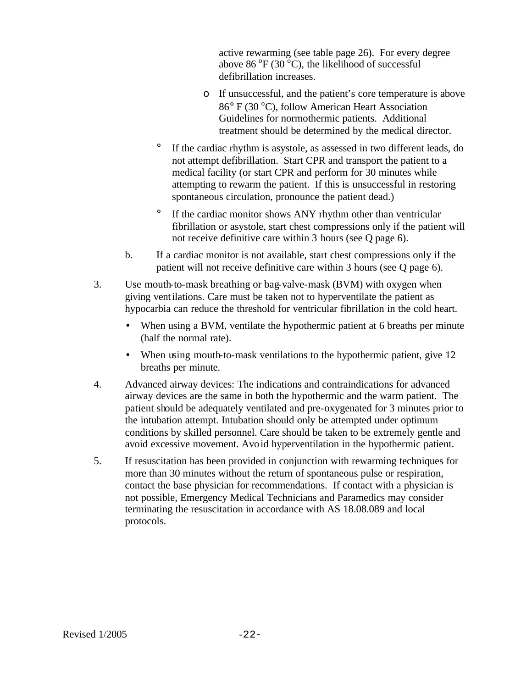active rewarming (see table page 26). For every degree above 86  $^{\circ}$ F (30  $^{\circ}$ C), the likelihood of successful defibrillation increases.

- o If unsuccessful, and the patient's core temperature is above 86° F (30 °C), follow American Heart Association Guidelines for normothermic patients. Additional treatment should be determined by the medical director.
- ° If the cardiac rhythm is asystole, as assessed in two different leads, do not attempt defibrillation. Start CPR and transport the patient to a medical facility (or start CPR and perform for 30 minutes while attempting to rewarm the patient. If this is unsuccessful in restoring spontaneous circulation, pronounce the patient dead.)
- ° If the cardiac monitor shows ANY rhythm other than ventricular fibrillation or asystole, start chest compressions only if the patient will not receive definitive care within 3 hours (see Q page 6).
- b. If a cardiac monitor is not available, start chest compressions only if the patient will not receive definitive care within 3 hours (see Q page 6).
- 3. Use mouth-to-mask breathing or bag-valve-mask (BVM) with oxygen when giving ventilations. Care must be taken not to hyperventilate the patient as hypocarbia can reduce the threshold for ventricular fibrillation in the cold heart.
	- When using a BVM, ventilate the hypothermic patient at 6 breaths per minute (half the normal rate).
	- When using mouth-to-mask ventilations to the hypothermic patient, give 12 breaths per minute.
- 4. Advanced airway devices: The indications and contraindications for advanced airway devices are the same in both the hypothermic and the warm patient. The patient should be adequately ventilated and pre-oxygenated for 3 minutes prior to the intubation attempt. Intubation should only be attempted under optimum conditions by skilled personnel. Care should be taken to be extremely gentle and avoid excessive movement. Avoid hyperventilation in the hypothermic patient.
- 5. If resuscitation has been provided in conjunction with rewarming techniques for more than 30 minutes without the return of spontaneous pulse or respiration, contact the base physician for recommendations. If contact with a physician is not possible, Emergency Medical Technicians and Paramedics may consider terminating the resuscitation in accordance with AS 18.08.089 and local protocols.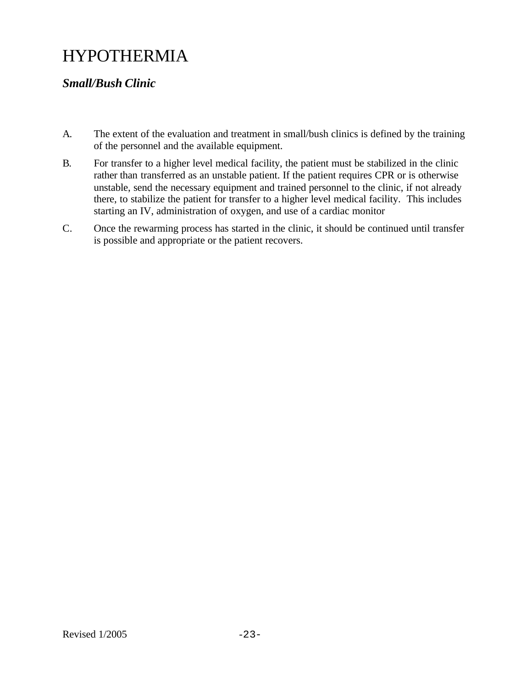# HYPOTHERMIA

#### *Small/Bush Clinic*

- A. The extent of the evaluation and treatment in small/bush clinics is defined by the training of the personnel and the available equipment.
- B. For transfer to a higher level medical facility, the patient must be stabilized in the clinic rather than transferred as an unstable patient. If the patient requires CPR or is otherwise unstable, send the necessary equipment and trained personnel to the clinic, if not already there, to stabilize the patient for transfer to a higher level medical facility. This includes starting an IV, administration of oxygen, and use of a cardiac monitor
- C. Once the rewarming process has started in the clinic, it should be continued until transfer is possible and appropriate or the patient recovers.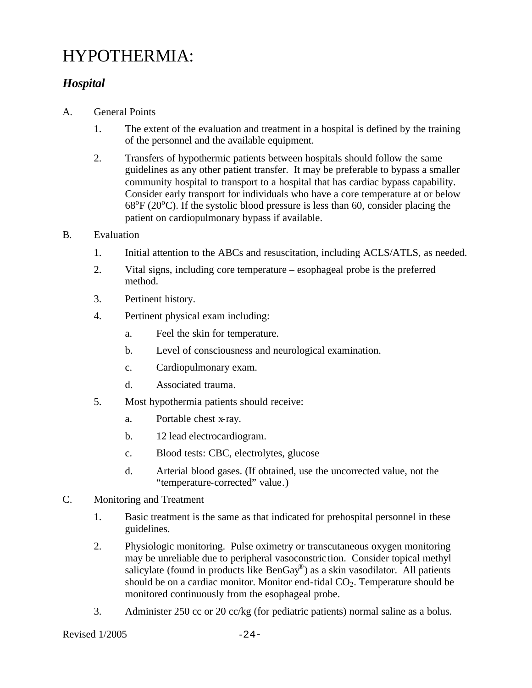# HYPOTHERMIA:

#### *Hospital*

- A. General Points
	- 1. The extent of the evaluation and treatment in a hospital is defined by the training of the personnel and the available equipment.
	- 2. Transfers of hypothermic patients between hospitals should follow the same guidelines as any other patient transfer. It may be preferable to bypass a smaller community hospital to transport to a hospital that has cardiac bypass capability. Consider early transport for individuals who have a core temperature at or below  $68^{\circ}$ F (20 $^{\circ}$ C). If the systolic blood pressure is less than 60, consider placing the patient on cardiopulmonary bypass if available.
- B. Evaluation
	- 1. Initial attention to the ABCs and resuscitation, including ACLS/ATLS, as needed.
	- 2. Vital signs, including core temperature esophageal probe is the preferred method.
	- 3. Pertinent history.
	- 4. Pertinent physical exam including:
		- a. Feel the skin for temperature.
		- b. Level of consciousness and neurological examination.
		- c. Cardiopulmonary exam.
		- d. Associated trauma.
	- 5. Most hypothermia patients should receive:
		- a. Portable chest x-ray.
		- b. 12 lead electrocardiogram.
		- c. Blood tests: CBC, electrolytes, glucose
		- d. Arterial blood gases. (If obtained, use the uncorrected value, not the "temperature-corrected" value.)

#### C. Monitoring and Treatment

- 1. Basic treatment is the same as that indicated for prehospital personnel in these guidelines.
- 2. Physiologic monitoring. Pulse oximetry or transcutaneous oxygen monitoring may be unreliable due to peripheral vasoconstric tion. Consider topical methyl salicylate (found in products like BenGay®) as a skin vasodilator. All patients should be on a cardiac monitor. Monitor end-tidal  $CO<sub>2</sub>$ . Temperature should be monitored continuously from the esophageal probe.
- 3. Administer 250 cc or 20 cc/kg (for pediatric patients) normal saline as a bolus.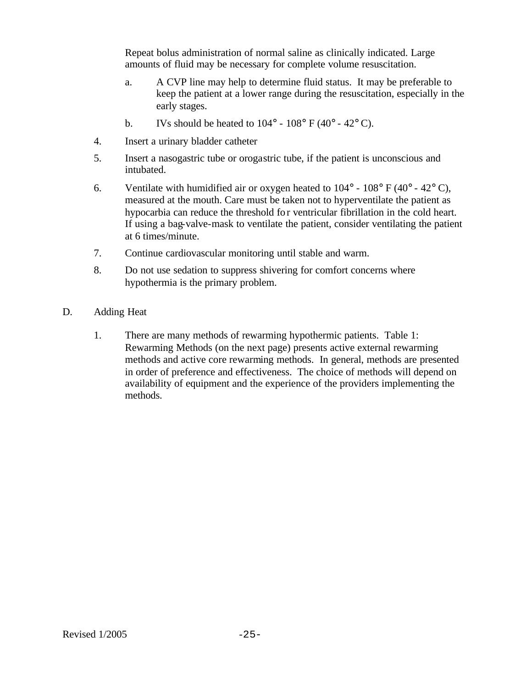Repeat bolus administration of normal saline as clinically indicated. Large amounts of fluid may be necessary for complete volume resuscitation.

- a. A CVP line may help to determine fluid status. It may be preferable to keep the patient at a lower range during the resuscitation, especially in the early stages.
- b. IVs should be heated to  $104^\circ$   $108^\circ$  F (40° 42° C).
- 4. Insert a urinary bladder catheter
- 5. Insert a nasogastric tube or orogastric tube, if the patient is unconscious and intubated.
- 6. Ventilate with humidified air or oxygen heated to  $104^{\circ}$   $108^{\circ}$  F (40° 42° C), measured at the mouth. Care must be taken not to hyperventilate the patient as hypocarbia can reduce the threshold for ventricular fibrillation in the cold heart. If using a bag-valve-mask to ventilate the patient, consider ventilating the patient at 6 times/minute.
- 7. Continue cardiovascular monitoring until stable and warm.
- 8. Do not use sedation to suppress shivering for comfort concerns where hypothermia is the primary problem.
- D. Adding Heat
	- 1. There are many methods of rewarming hypothermic patients. Table 1: Rewarming Methods (on the next page) presents active external rewarming methods and active core rewarming methods. In general, methods are presented in order of preference and effectiveness. The choice of methods will depend on availability of equipment and the experience of the providers implementing the methods.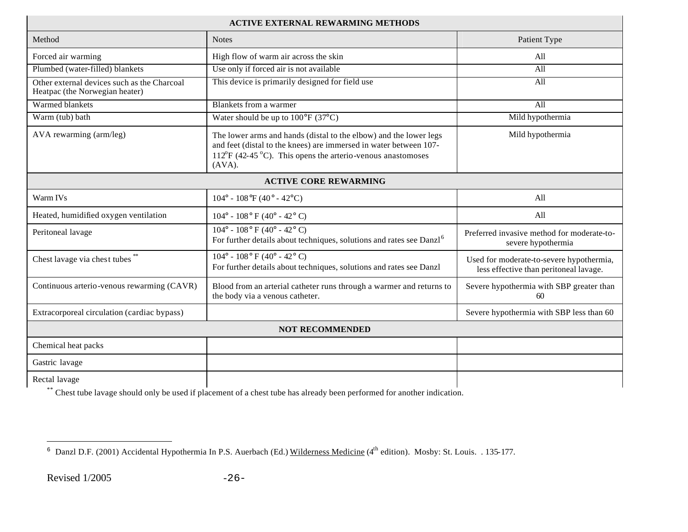| <b>ACTIVE EXTERNAL REWARMING METHODS</b>                                      |                                                                                                                                                                                                                                        |                                                                                    |  |
|-------------------------------------------------------------------------------|----------------------------------------------------------------------------------------------------------------------------------------------------------------------------------------------------------------------------------------|------------------------------------------------------------------------------------|--|
| Method                                                                        | <b>Notes</b>                                                                                                                                                                                                                           | Patient Type                                                                       |  |
| Forced air warming                                                            | High flow of warm air across the skin                                                                                                                                                                                                  | A11                                                                                |  |
| Plumbed (water-filled) blankets                                               | Use only if forced air is not available                                                                                                                                                                                                | All                                                                                |  |
| Other external devices such as the Charcoal<br>Heatpac (the Norwegian heater) | This device is primarily designed for field use                                                                                                                                                                                        | A11                                                                                |  |
| Warmed blankets                                                               | Blankets from a warmer                                                                                                                                                                                                                 | All                                                                                |  |
| Warm (tub) bath                                                               | Water should be up to $100^{\circ}$ F (37°C)                                                                                                                                                                                           | Mild hypothermia                                                                   |  |
| AVA rewarming (arm/leg)                                                       | The lower arms and hands (distal to the elbow) and the lower legs<br>and feet (distal to the knees) are immersed in water between 107-<br>$112^{\circ}$ F (42-45 $^{\circ}$ C). This opens the arterio-venous anastomoses<br>$(AVA)$ . | Mild hypothermia                                                                   |  |
| <b>ACTIVE CORE REWARMING</b>                                                  |                                                                                                                                                                                                                                        |                                                                                    |  |
| Warm IVs                                                                      | $104^{\circ}$ - $108^{\circ}$ F (40° - 42°C)                                                                                                                                                                                           | All                                                                                |  |
| Heated, humidified oxygen ventilation                                         | $104^{\circ}$ - $108^{\circ}$ F (40° - 42° C)                                                                                                                                                                                          | All                                                                                |  |
| Peritoneal lavage                                                             | $104^{\circ}$ - $108^{\circ}$ F (40° - 42° C)<br>For further details about techniques, solutions and rates see Danzl <sup>6</sup>                                                                                                      | Preferred invasive method for moderate-to-<br>severe hypothermia                   |  |
| Chest lavage via chest tubes $\stackrel{**}{\phantom*}$                       | $104^{\circ}$ - $108^{\circ}$ F (40° - 42° C)<br>For further details about techniques, solutions and rates see Danzl                                                                                                                   | Used for moderate-to-severe hypothermia,<br>less effective than peritoneal lavage. |  |
| Continuous arterio-venous rewarming (CAVR)                                    | Blood from an arterial catheter runs through a warmer and returns to<br>the body via a venous catheter.                                                                                                                                | Severe hypothermia with SBP greater than<br>60                                     |  |
| Extracorporeal circulation (cardiac bypass)                                   |                                                                                                                                                                                                                                        | Severe hypothermia with SBP less than 60                                           |  |
| <b>NOT RECOMMENDED</b>                                                        |                                                                                                                                                                                                                                        |                                                                                    |  |
| Chemical heat packs                                                           |                                                                                                                                                                                                                                        |                                                                                    |  |
| Gastric lavage                                                                |                                                                                                                                                                                                                                        |                                                                                    |  |
| Rectal lavage                                                                 |                                                                                                                                                                                                                                        |                                                                                    |  |

\*\* Chest tube lavage should only be used if placement of a chest tube has already been performed for another indication.

Revised 1/2005 -26-

i

<sup>&</sup>lt;sup>6</sup> Danzl D.F. (2001) Accidental Hypothermia In P.S. Auerbach (Ed.) Wilderness Medicine (4<sup>th</sup> edition). Mosby: St. Louis. . 135-177.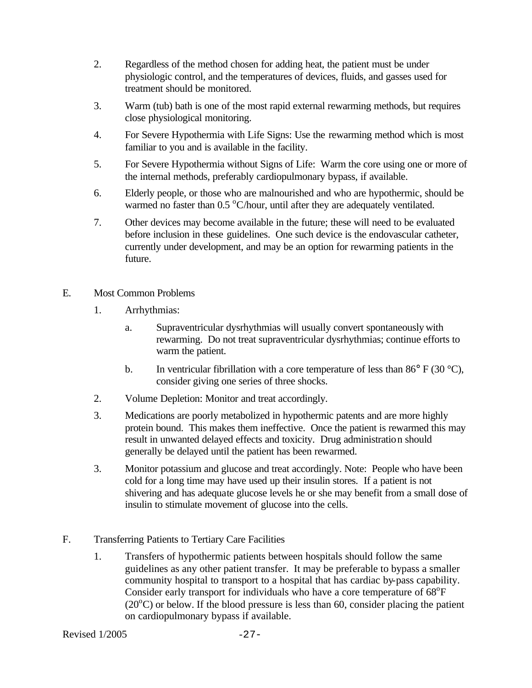- 2. Regardless of the method chosen for adding heat, the patient must be under physiologic control, and the temperatures of devices, fluids, and gasses used for treatment should be monitored.
- 3. Warm (tub) bath is one of the most rapid external rewarming methods, but requires close physiological monitoring.
- 4. For Severe Hypothermia with Life Signs: Use the rewarming method which is most familiar to you and is available in the facility.
- 5. For Severe Hypothermia without Signs of Life: Warm the core using one or more of the internal methods, preferably cardiopulmonary bypass, if available.
- 6. Elderly people, or those who are malnourished and who are hypothermic, should be warmed no faster than  $0.5 \degree$ C/hour, until after they are adequately ventilated.
- 7. Other devices may become available in the future; these will need to be evaluated before inclusion in these guidelines. One such device is the endovascular catheter, currently under development, and may be an option for rewarming patients in the future.

#### E. Most Common Problems

- 1. Arrhythmias:
	- a. Supraventricular dysrhythmias will usually convert spontaneously with rewarming. Do not treat supraventricular dysrhythmias; continue efforts to warm the patient.
	- b. In ventricular fibrillation with a core temperature of less than  $86^{\circ}$  F (30  $^{\circ}$ C), consider giving one series of three shocks.
- 2. Volume Depletion: Monitor and treat accordingly.
- 3. Medications are poorly metabolized in hypothermic patents and are more highly protein bound. This makes them ineffective. Once the patient is rewarmed this may result in unwanted delayed effects and toxicity. Drug administration should generally be delayed until the patient has been rewarmed.
- 3. Monitor potassium and glucose and treat accordingly. Note: People who have been cold for a long time may have used up their insulin stores. If a patient is not shivering and has adequate glucose levels he or she may benefit from a small dose of insulin to stimulate movement of glucose into the cells.
- F. Transferring Patients to Tertiary Care Facilities
	- 1. Transfers of hypothermic patients between hospitals should follow the same guidelines as any other patient transfer. It may be preferable to bypass a smaller community hospital to transport to a hospital that has cardiac by-pass capability. Consider early transport for individuals who have a core temperature of  $68^{\circ}$ F  $(20^{\circ}$ C) or below. If the blood pressure is less than 60, consider placing the patient on cardiopulmonary bypass if available.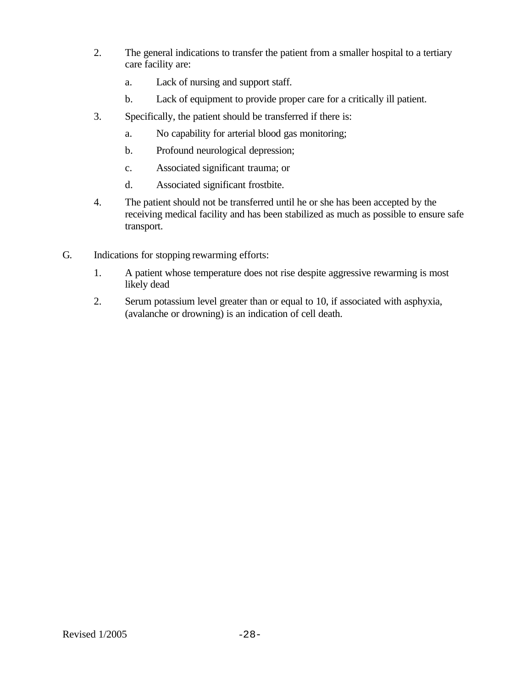- 2. The general indications to transfer the patient from a smaller hospital to a tertiary care facility are:
	- a. Lack of nursing and support staff.
	- b. Lack of equipment to provide proper care for a critically ill patient.
- 3. Specifically, the patient should be transferred if there is:
	- a. No capability for arterial blood gas monitoring;
	- b. Profound neurological depression;
	- c. Associated significant trauma; or
	- d. Associated significant frostbite.
- 4. The patient should not be transferred until he or she has been accepted by the receiving medical facility and has been stabilized as much as possible to ensure safe transport.
- G. Indications for stopping rewarming efforts:
	- 1. A patient whose temperature does not rise despite aggressive rewarming is most likely dead
	- 2. Serum potassium level greater than or equal to 10, if associated with asphyxia, (avalanche or drowning) is an indication of cell death.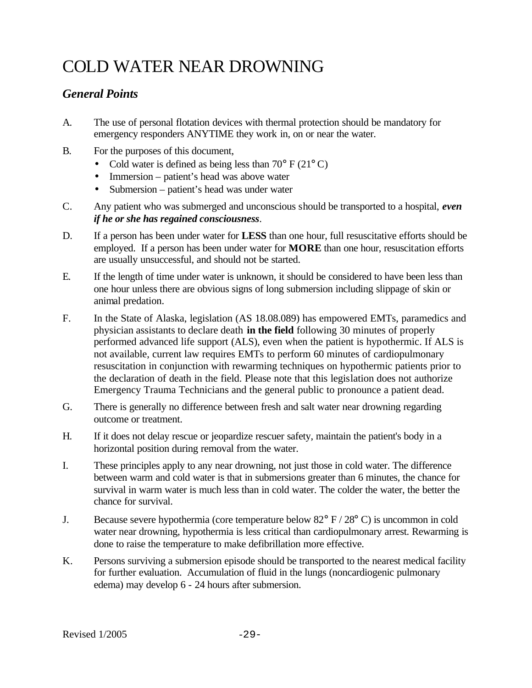#### *General Points*

- A. The use of personal flotation devices with thermal protection should be mandatory for emergency responders ANYTIME they work in, on or near the water.
- B. For the purposes of this document,
	- Cold water is defined as being less than  $70^{\circ}$  F ( $21^{\circ}$  C)
	- Immersion patient's head was above water
	- Submersion patient's head was under water
- C. Any patient who was submerged and unconscious should be transported to a hospital, *even if he or she has regained consciousness*.
- D. If a person has been under water for **LESS** than one hour, full resuscitative efforts should be employed. If a person has been under water for **MORE** than one hour, resuscitation efforts are usually unsuccessful, and should not be started.
- E. If the length of time under water is unknown, it should be considered to have been less than one hour unless there are obvious signs of long submersion including slippage of skin or animal predation.
- F. In the State of Alaska, legislation (AS 18.08.089) has empowered EMTs, paramedics and physician assistants to declare death **in the field** following 30 minutes of properly performed advanced life support (ALS), even when the patient is hypothermic. If ALS is not available, current law requires EMTs to perform 60 minutes of cardiopulmonary resuscitation in conjunction with rewarming techniques on hypothermic patients prior to the declaration of death in the field. Please note that this legislation does not authorize Emergency Trauma Technicians and the general public to pronounce a patient dead.
- G. There is generally no difference between fresh and salt water near drowning regarding outcome or treatment.
- H. If it does not delay rescue or jeopardize rescuer safety, maintain the patient's body in a horizontal position during removal from the water.
- I. These principles apply to any near drowning, not just those in cold water. The difference between warm and cold water is that in submersions greater than 6 minutes, the chance for survival in warm water is much less than in cold water. The colder the water, the better the chance for survival.
- J. Because severe hypothermia (core temperature below  $82^{\circ}$  F /  $28^{\circ}$  C) is uncommon in cold water near drowning, hypothermia is less critical than cardiopulmonary arrest. Rewarming is done to raise the temperature to make defibrillation more effective.
- K. Persons surviving a submersion episode should be transported to the nearest medical facility for further evaluation. Accumulation of fluid in the lungs (noncardiogenic pulmonary edema) may develop 6 - 24 hours after submersion.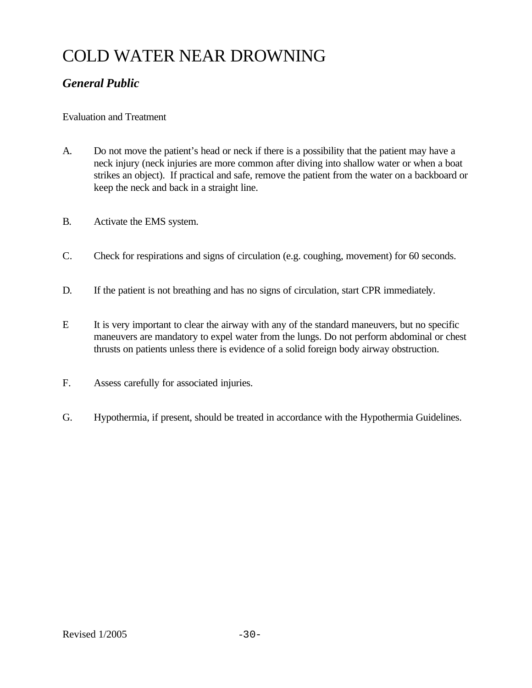#### *General Public*

- A. Do not move the patient's head or neck if there is a possibility that the patient may have a neck injury (neck injuries are more common after diving into shallow water or when a boat strikes an object). If practical and safe, remove the patient from the water on a backboard or keep the neck and back in a straight line.
- B. Activate the EMS system.
- C. Check for respirations and signs of circulation (e.g. coughing, movement) for 60 seconds.
- D. If the patient is not breathing and has no signs of circulation, start CPR immediately.
- E It is very important to clear the airway with any of the standard maneuvers, but no specific maneuvers are mandatory to expel water from the lungs. Do not perform abdominal or chest thrusts on patients unless there is evidence of a solid foreign body airway obstruction.
- F. Assess carefully for associated injuries.
- G. Hypothermia, if present, should be treated in accordance with the Hypothermia Guidelines.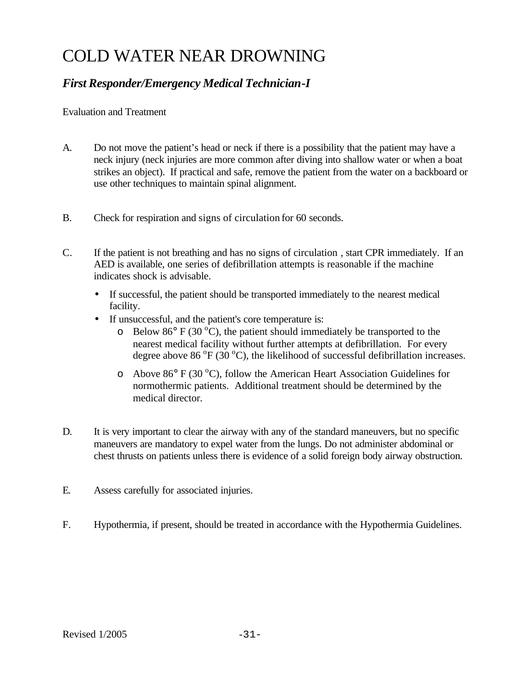#### *First Responder/Emergency Medical Technician-I*

- A. Do not move the patient's head or neck if there is a possibility that the patient may have a neck injury (neck injuries are more common after diving into shallow water or when a boat strikes an object). If practical and safe, remove the patient from the water on a backboard or use other techniques to maintain spinal alignment.
- B. Check for respiration and signs of circulation for 60 seconds.
- C. If the patient is not breathing and has no signs of circulation , start CPR immediately. If an AED is available, one series of defibrillation attempts is reasonable if the machine indicates shock is advisable.
	- If successful, the patient should be transported immediately to the nearest medical facility.
	- If unsuccessful, and the patient's core temperature is:
		- $\circ$  Below 86 $\degree$  F (30 $\degree$ C), the patient should immediately be transported to the nearest medical facility without further attempts at defibrillation. For every degree above 86  $\rm{^{\circ}F}$  (30  $\rm{^{\circ}C}$ ), the likelihood of successful defibrillation increases.
		- o Above  $86^{\circ}$  F (30  $^{\circ}$ C), follow the American Heart Association Guidelines for normothermic patients. Additional treatment should be determined by the medical director.
- D. It is very important to clear the airway with any of the standard maneuvers, but no specific maneuvers are mandatory to expel water from the lungs. Do not administer abdominal or chest thrusts on patients unless there is evidence of a solid foreign body airway obstruction.
- E. Assess carefully for associated injuries.
- F. Hypothermia, if present, should be treated in accordance with the Hypothermia Guidelines.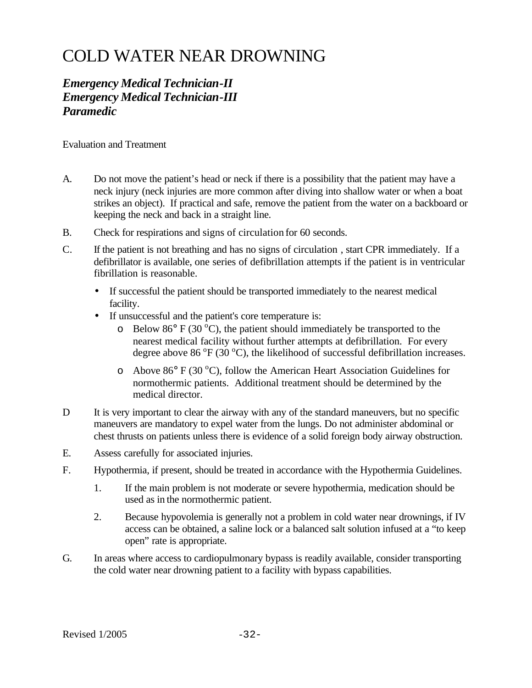#### *Emergency Medical Technician-II Emergency Medical Technician-III Paramedic*

- A. Do not move the patient's head or neck if there is a possibility that the patient may have a neck injury (neck injuries are more common after diving into shallow water or when a boat strikes an object). If practical and safe, remove the patient from the water on a backboard or keeping the neck and back in a straight line.
- B. Check for respirations and signs of circulation for 60 seconds.
- C. If the patient is not breathing and has no signs of circulation , start CPR immediately. If a defibrillator is available, one series of defibrillation attempts if the patient is in ventricular fibrillation is reasonable.
	- If successful the patient should be transported immediately to the nearest medical facility.
	- If unsuccessful and the patient's core temperature is:
		- o Below  $86^{\circ}$  F (30  $^{\circ}$ C), the patient should immediately be transported to the nearest medical facility without further attempts at defibrillation. For every degree above 86  $\rm{^{\circ}F}$  (30  $\rm{^{\circ}C}$ ), the likelihood of successful defibrillation increases.
		- o Above  $86^{\circ}$  F (30  $^{\circ}$ C), follow the American Heart Association Guidelines for normothermic patients. Additional treatment should be determined by the medical director.
- D It is very important to clear the airway with any of the standard maneuvers, but no specific maneuvers are mandatory to expel water from the lungs. Do not administer abdominal or chest thrusts on patients unless there is evidence of a solid foreign body airway obstruction.
- E. Assess carefully for associated injuries.
- F. Hypothermia, if present, should be treated in accordance with the Hypothermia Guidelines.
	- 1. If the main problem is not moderate or severe hypothermia, medication should be used as in the normothermic patient.
	- 2. Because hypovolemia is generally not a problem in cold water near drownings, if IV access can be obtained, a saline lock or a balanced salt solution infused at a "to keep open" rate is appropriate.
- G. In areas where access to cardiopulmonary bypass is readily available, consider transporting the cold water near drowning patient to a facility with bypass capabilities.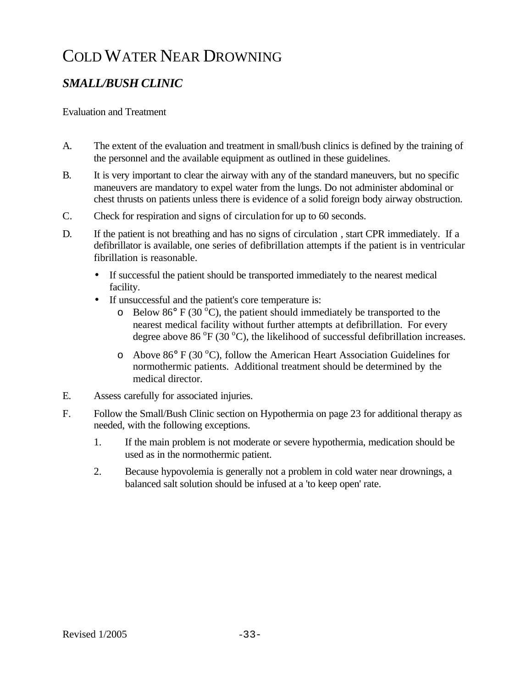### *SMALL/BUSH CLINIC*

- A. The extent of the evaluation and treatment in small/bush clinics is defined by the training of the personnel and the available equipment as outlined in these guidelines.
- B. It is very important to clear the airway with any of the standard maneuvers, but no specific maneuvers are mandatory to expel water from the lungs. Do not administer abdominal or chest thrusts on patients unless there is evidence of a solid foreign body airway obstruction.
- C. Check for respiration and signs of circulation for up to 60 seconds.
- D. If the patient is not breathing and has no signs of circulation , start CPR immediately. If a defibrillator is available, one series of defibrillation attempts if the patient is in ventricular fibrillation is reasonable.
	- If successful the patient should be transported immediately to the nearest medical facility.
	- If unsuccessful and the patient's core temperature is:
		- o Below  $86^{\circ}$  F (30  $^{\circ}$ C), the patient should immediately be transported to the nearest medical facility without further attempts at defibrillation. For every degree above 86  $\rm{^{\circ}F}$  (30  $\rm{^{\circ}C}$ ), the likelihood of successful defibrillation increases.
		- o Above  $86^{\circ}$  F (30  $^{\circ}$ C), follow the American Heart Association Guidelines for normothermic patients. Additional treatment should be determined by the medical director.
- E. Assess carefully for associated injuries.
- F. Follow the Small/Bush Clinic section on Hypothermia on page 23 for additional therapy as needed, with the following exceptions.
	- 1. If the main problem is not moderate or severe hypothermia, medication should be used as in the normothermic patient.
	- 2. Because hypovolemia is generally not a problem in cold water near drownings, a balanced salt solution should be infused at a 'to keep open' rate.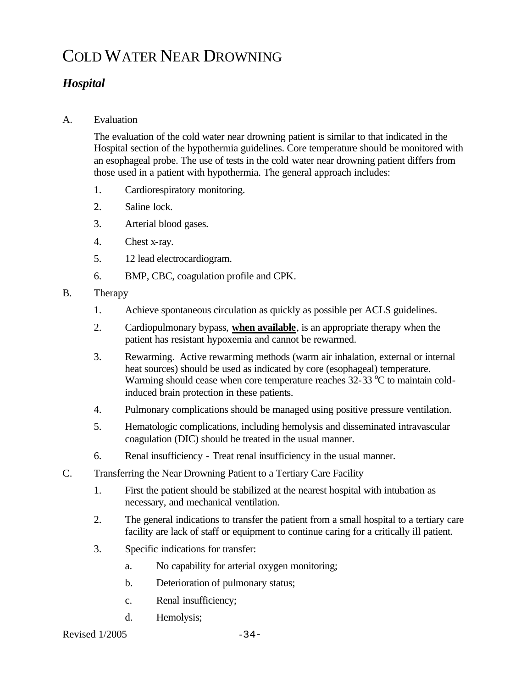#### *Hospital*

#### A. Evaluation

The evaluation of the cold water near drowning patient is similar to that indicated in the Hospital section of the hypothermia guidelines. Core temperature should be monitored with an esophageal probe. The use of tests in the cold water near drowning patient differs from those used in a patient with hypothermia. The general approach includes:

- 1. Cardiorespiratory monitoring.
- 2. Saline lock.
- 3. Arterial blood gases.
- 4. Chest x-ray.
- 5. 12 lead electrocardiogram.
- 6. BMP, CBC, coagulation profile and CPK.
- B. Therapy
	- 1. Achieve spontaneous circulation as quickly as possible per ACLS guidelines.
	- 2. Cardiopulmonary bypass, **when available**, is an appropriate therapy when the patient has resistant hypoxemia and cannot be rewarmed.
	- 3. Rewarming. Active rewarming methods (warm air inhalation, external or internal heat sources) should be used as indicated by core (esophageal) temperature. Warming should cease when core temperature reaches  $32-33$  °C to maintain coldinduced brain protection in these patients.
	- 4. Pulmonary complications should be managed using positive pressure ventilation.
	- 5. Hematologic complications, including hemolysis and disseminated intravascular coagulation (DIC) should be treated in the usual manner.
	- 6. Renal insufficiency Treat renal insufficiency in the usual manner.
- C. Transferring the Near Drowning Patient to a Tertiary Care Facility
	- 1. First the patient should be stabilized at the nearest hospital with intubation as necessary, and mechanical ventilation.
	- 2. The general indications to transfer the patient from a small hospital to a tertiary care facility are lack of staff or equipment to continue caring for a critically ill patient.
	- 3. Specific indications for transfer:
		- a. No capability for arterial oxygen monitoring;
		- b. Deterioration of pulmonary status;
		- c. Renal insufficiency;
		- d. Hemolysis;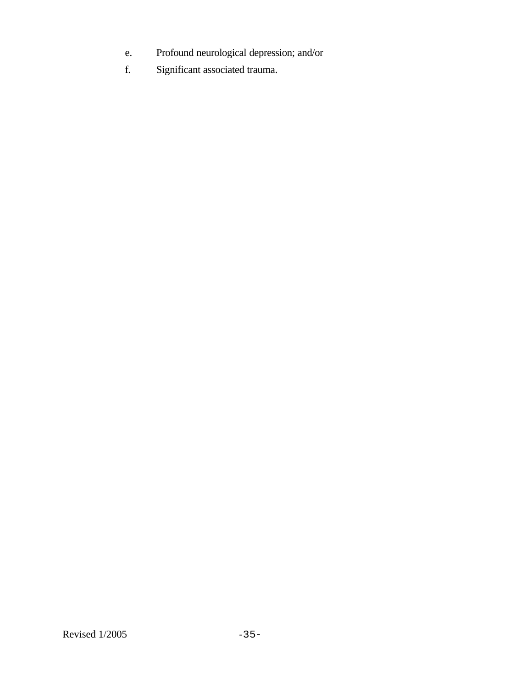- e. Profound neurological depression; and/or
- f. Significant associated trauma.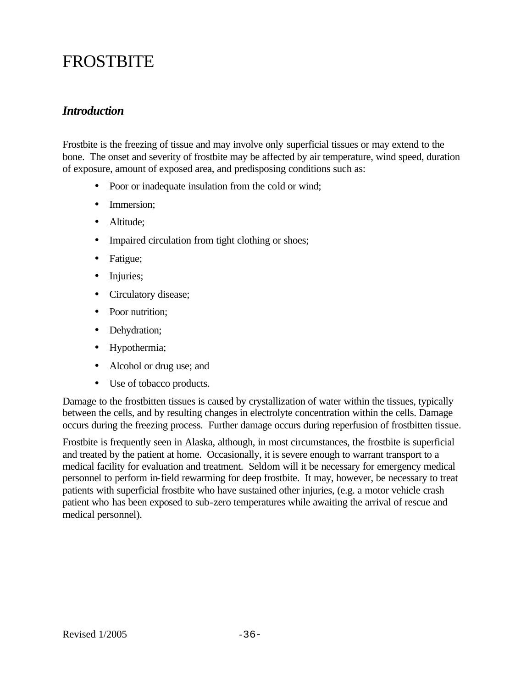### **FROSTBITE**

#### *Introduction*

Frostbite is the freezing of tissue and may involve only superficial tissues or may extend to the bone. The onset and severity of frostbite may be affected by air temperature, wind speed, duration of exposure, amount of exposed area, and predisposing conditions such as:

- Poor or inadequate insulation from the cold or wind;
- Immersion:
- Altitude:
- Impaired circulation from tight clothing or shoes;
- Fatigue;
- Injuries;
- Circulatory disease;
- Poor nutrition:
- Dehydration;
- Hypothermia;
- Alcohol or drug use; and
- Use of tobacco products.

Damage to the frostbitten tissues is caused by crystallization of water within the tissues, typically between the cells, and by resulting changes in electrolyte concentration within the cells. Damage occurs during the freezing process. Further damage occurs during reperfusion of frostbitten tissue.

Frostbite is frequently seen in Alaska, although, in most circumstances, the frostbite is superficial and treated by the patient at home. Occasionally, it is severe enough to warrant transport to a medical facility for evaluation and treatment. Seldom will it be necessary for emergency medical personnel to perform in-field rewarming for deep frostbite. It may, however, be necessary to treat patients with superficial frostbite who have sustained other injuries, (e.g. a motor vehicle crash patient who has been exposed to sub-zero temperatures while awaiting the arrival of rescue and medical personnel).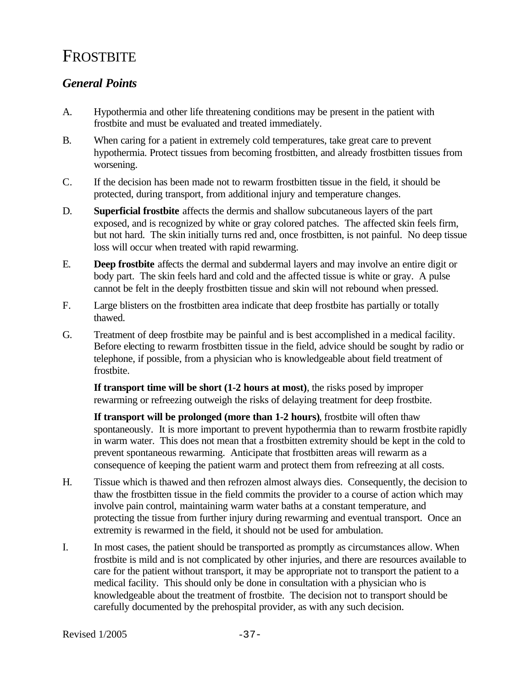### **FROSTBITE**

#### *General Points*

- A. Hypothermia and other life threatening conditions may be present in the patient with frostbite and must be evaluated and treated immediately.
- B. When caring for a patient in extremely cold temperatures, take great care to prevent hypothermia. Protect tissues from becoming frostbitten, and already frostbitten tissues from worsening.
- C. If the decision has been made not to rewarm frostbitten tissue in the field, it should be protected, during transport, from additional injury and temperature changes.
- D. **Superficial frostbite** affects the dermis and shallow subcutaneous layers of the part exposed, and is recognized by white or gray colored patches. The affected skin feels firm, but not hard. The skin initially turns red and, once frostbitten, is not painful. No deep tissue loss will occur when treated with rapid rewarming.
- E. **Deep frostbite** affects the dermal and subdermal layers and may involve an entire digit or body part. The skin feels hard and cold and the affected tissue is white or gray. A pulse cannot be felt in the deeply frostbitten tissue and skin will not rebound when pressed.
- F. Large blisters on the frostbitten area indicate that deep frostbite has partially or totally thawed.
- G. Treatment of deep frostbite may be painful and is best accomplished in a medical facility. Before electing to rewarm frostbitten tissue in the field, advice should be sought by radio or telephone, if possible, from a physician who is knowledgeable about field treatment of frostbite.

**If transport time will be short (1-2 hours at most)**, the risks posed by improper rewarming or refreezing outweigh the risks of delaying treatment for deep frostbite.

**If transport will be prolonged (more than 1-2 hours)**, frostbite will often thaw spontaneously. It is more important to prevent hypothermia than to rewarm frostbite rapidly in warm water. This does not mean that a frostbitten extremity should be kept in the cold to prevent spontaneous rewarming. Anticipate that frostbitten areas will rewarm as a consequence of keeping the patient warm and protect them from refreezing at all costs.

- H. Tissue which is thawed and then refrozen almost always dies. Consequently, the decision to thaw the frostbitten tissue in the field commits the provider to a course of action which may involve pain control, maintaining warm water baths at a constant temperature, and protecting the tissue from further injury during rewarming and eventual transport. Once an extremity is rewarmed in the field, it should not be used for ambulation.
- I. In most cases, the patient should be transported as promptly as circumstances allow. When frostbite is mild and is not complicated by other injuries, and there are resources available to care for the patient without transport, it may be appropriate not to transport the patient to a medical facility. This should only be done in consultation with a physician who is knowledgeable about the treatment of frostbite. The decision not to transport should be carefully documented by the prehospital provider, as with any such decision.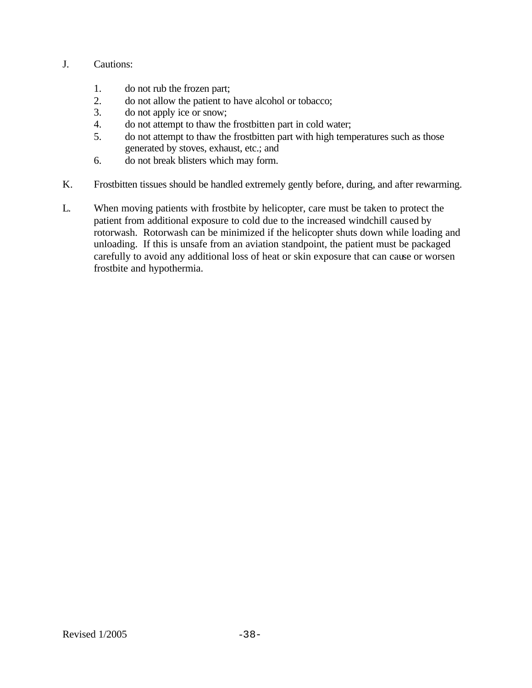#### J. Cautions:

- 1. do not rub the frozen part;
- 2. do not allow the patient to have alcohol or tobacco;
- 3. do not apply ice or snow;
- 4. do not attempt to thaw the frostbitten part in cold water;
- 5. do not attempt to thaw the frostbitten part with high temperatures such as those generated by stoves, exhaust, etc.; and
- 6. do not break blisters which may form.
- K. Frostbitten tissues should be handled extremely gently before, during, and after rewarming.
- L. When moving patients with frostbite by helicopter, care must be taken to protect the patient from additional exposure to cold due to the increased windchill caused by rotorwash. Rotorwash can be minimized if the helicopter shuts down while loading and unloading. If this is unsafe from an aviation standpoint, the patient must be packaged carefully to avoid any additional loss of heat or skin exposure that can cause or worsen frostbite and hypothermia.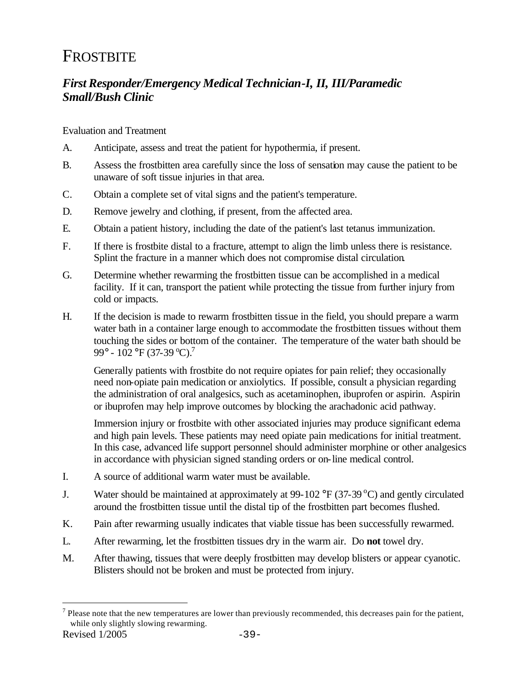### **FROSTBITE**

#### *First Responder/Emergency Medical Technician-I, II, III/Paramedic Small/Bush Clinic*

Evaluation and Treatment

- A. Anticipate, assess and treat the patient for hypothermia, if present.
- B. Assess the frostbitten area carefully since the loss of sensation may cause the patient to be unaware of soft tissue injuries in that area.
- C. Obtain a complete set of vital signs and the patient's temperature.
- D. Remove jewelry and clothing, if present, from the affected area.
- E. Obtain a patient history, including the date of the patient's last tetanus immunization.
- F. If there is frostbite distal to a fracture, attempt to align the limb unless there is resistance. Splint the fracture in a manner which does not compromise distal circulation.
- G. Determine whether rewarming the frostbitten tissue can be accomplished in a medical facility. If it can, transport the patient while protecting the tissue from further injury from cold or impacts.
- H. If the decision is made to rewarm frostbitten tissue in the field, you should prepare a warm water bath in a container large enough to accommodate the frostbitten tissues without them touching the sides or bottom of the container. The temperature of the water bath should be 99° - 102 °F (37-39 °C).<sup>7</sup>

Generally patients with frostbite do not require opiates for pain relief; they occasionally need non-opiate pain medication or anxiolytics. If possible, consult a physician regarding the administration of oral analgesics, such as acetaminophen, ibuprofen or aspirin. Aspirin or ibuprofen may help improve outcomes by blocking the arachadonic acid pathway.

Immersion injury or frostbite with other associated injuries may produce significant edema and high pain levels. These patients may need opiate pain medications for initial treatment. In this case, advanced life support personnel should administer morphine or other analgesics in accordance with physician signed standing orders or on-line medical control.

- I. A source of additional warm water must be available.
- J. Water should be maintained at approximately at 99-102  $\degree$ F (37-39  $\degree$ C) and gently circulated around the frostbitten tissue until the distal tip of the frostbitten part becomes flushed.
- K. Pain after rewarming usually indicates that viable tissue has been successfully rewarmed.
- L. After rewarming, let the frostbitten tissues dry in the warm air. Do **not** towel dry.
- M. After thawing, tissues that were deeply frostbitten may develop blisters or appear cyanotic. Blisters should not be broken and must be protected from injury.

i

 $<sup>7</sup>$  Please note that the new temperatures are lower than previously recommended, this decreases pain for the patient,</sup> while only slightly slowing rewarming.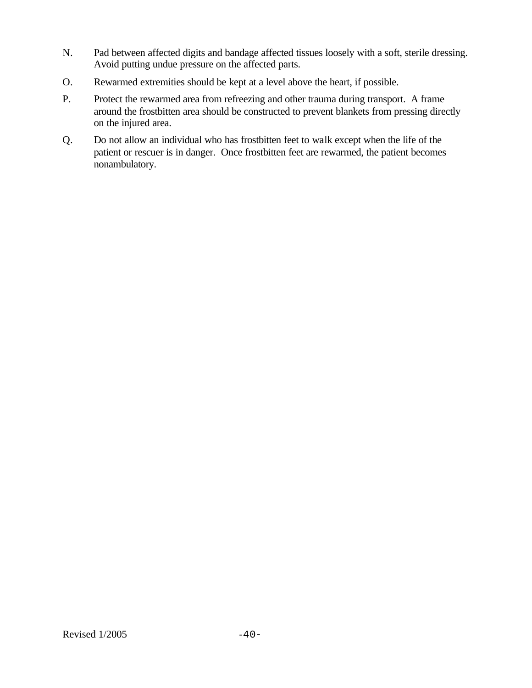- N. Pad between affected digits and bandage affected tissues loosely with a soft, sterile dressing. Avoid putting undue pressure on the affected parts.
- O. Rewarmed extremities should be kept at a level above the heart, if possible.
- P. Protect the rewarmed area from refreezing and other trauma during transport. A frame around the frostbitten area should be constructed to prevent blankets from pressing directly on the injured area.
- Q. Do not allow an individual who has frostbitten feet to walk except when the life of the patient or rescuer is in danger. Once frostbitten feet are rewarmed, the patient becomes nonambulatory.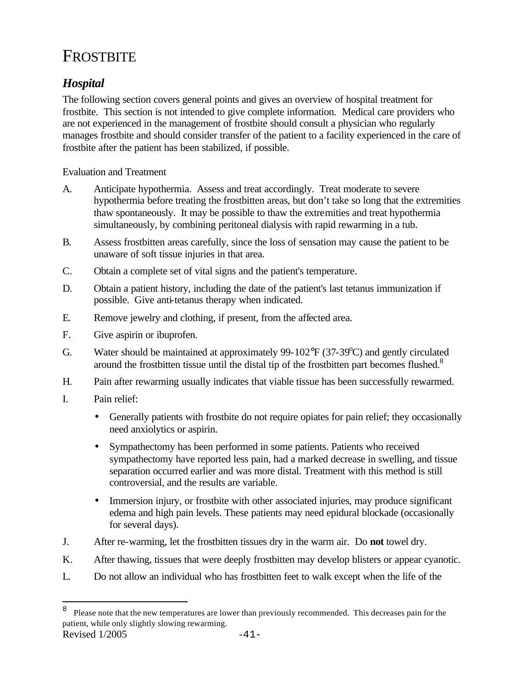### **FROSTBITE**

### *Hospital*

The following section covers general points and gives an overview of hospital treatment for frostbite. This section is not intended to give complete information. Medical care providers who are not experienced in the management of frostbite should consult a physician who regularly manages frostbite and should consider transfer of the patient to a facility experienced in the care of frostbite after the patient has been stabilized, if possible.

Evaluation and Treatment

- A. Anticipate hypothermia. Assess and treat accordingly. Treat moderate to severe hypothermia before treating the frostbitten areas, but don't take so long that the extremities thaw spontaneously. It may be possible to thaw the extremities and treat hypothermia simultaneously, by combining peritoneal dialysis with rapid rewarming in a tub.
- B. Assess frostbitten areas carefully, since the loss of sensation may cause the patient to be unaware of soft tissue injuries in that area.
- C. Obtain a complete set of vital signs and the patient's temperature.
- D. Obtain a patient history, including the date of the patient's last tetanus immunization if possible. Give anti-tetanus therapy when indicated.
- E. Remove jewelry and clothing, if present, from the affected area.
- F. Give aspirin or ibuprofen.
- G. Water should be maintained at approximately 99-102 $\degree$ F (37-39 $\degree$ C) and gently circulated around the frostbitten tissue until the distal tip of the frostbitten part becomes flushed.<sup>8</sup>
- H. Pain after rewarming usually indicates that viable tissue has been successfully rewarmed.
- I. Pain relief:
	- Generally patients with frostbite do not require opiates for pain relief; they occasionally need anxiolytics or aspirin.
	- Sympathectomy has been performed in some patients. Patients who received sympathectomy have reported less pain, had a marked decrease in swelling, and tissue separation occurred earlier and was more distal. Treatment with this method is still controversial, and the results are variable.
	- Immersion injury, or frostbite with other associated injuries, may produce significant edema and high pain levels. These patients may need epidural blockade (occasionally for several days).
- J. After re-warming, let the frostbitten tissues dry in the warm air. Do **not** towel dry.
- K. After thawing, tissues that were deeply frostbitten may develop blisters or appear cyanotic.
- L. Do not allow an individual who has frostbitten feet to walk except when the life of the

i

Revised 1/2005 -41-8 Please note that the new temperatures are lower than previously recommended. This decreases pain for the patient, while only slightly slowing rewarming.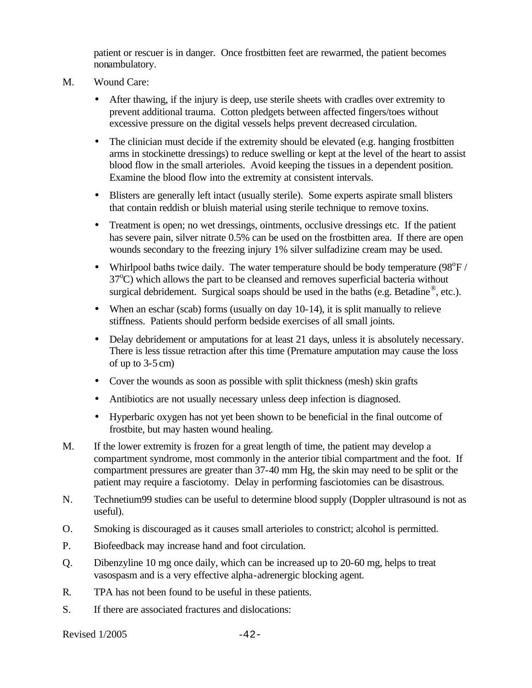patient or rescuer is in danger. Once frostbitten feet are rewarmed, the patient becomes nonambulatory.

- M. Wound Care:
	- After thawing, if the injury is deep, use sterile sheets with cradles over extremity to prevent additional trauma. Cotton pledgets between affected fingers/toes without excessive pressure on the digital vessels helps prevent decreased circulation.
	- The clinician must decide if the extremity should be elevated (e.g. hanging frostbitten arms in stockinette dressings) to reduce swelling or kept at the level of the heart to assist blood flow in the small arterioles. Avoid keeping the tissues in a dependent position. Examine the blood flow into the extremity at consistent intervals.
	- Blisters are generally left intact (usually sterile). Some experts aspirate small blisters that contain reddish or bluish material using sterile technique to remove toxins.
	- Treatment is open; no wet dressings, ointments, occlusive dressings etc. If the patient has severe pain, silver nitrate 0.5% can be used on the frostbitten area. If there are open wounds secondary to the freezing injury 1% silver sulfadizine cream may be used.
	- Whirlpool baths twice daily. The water temperature should be body temperature  $(98^{\circ}F /$  $37^{\circ}$ C) which allows the part to be cleansed and removes superficial bacteria without surgical debridement. Surgical soaps should be used in the baths (e.g. Betadine $^{\circledR}$ , etc.).
	- When an eschar (scab) forms (usually on day 10-14), it is split manually to relieve stiffness. Patients should perform bedside exercises of all small joints.
	- Delay debridement or amputations for at least 21 days, unless it is absolutely necessary. There is less tissue retraction after this time (Premature amputation may cause the loss of up to 3-5 cm)
	- Cover the wounds as soon as possible with split thickness (mesh) skin grafts
	- Antibiotics are not usually necessary unless deep infection is diagnosed.
	- Hyperbaric oxygen has not yet been shown to be beneficial in the final outcome of frostbite, but may hasten wound healing.
- M. If the lower extremity is frozen for a great length of time, the patient may develop a compartment syndrome, most commonly in the anterior tibial compartment and the foot. If compartment pressures are greater than 37-40 mm Hg, the skin may need to be split or the patient may require a fasciotomy. Delay in performing fasciotomies can be disastrous.
- N. Technetium99 studies can be useful to determine blood supply (Doppler ultrasound is not as useful).
- O. Smoking is discouraged as it causes small arterioles to constrict; alcohol is permitted.
- P. Biofeedback may increase hand and foot circulation.
- Q. Dibenzyline 10 mg once daily, which can be increased up to 20-60 mg, helps to treat vasospasm and is a very effective alpha-adrenergic blocking agent.
- R. TPA has not been found to be useful in these patients.
- S. If there are associated fractures and dislocations:

Revised 1/2005 -42-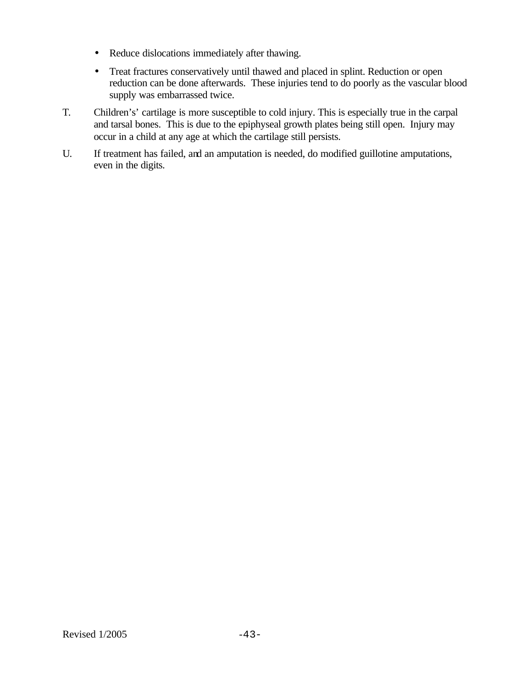- Reduce dislocations immediately after thawing.
- Treat fractures conservatively until thawed and placed in splint. Reduction or open reduction can be done afterwards. These injuries tend to do poorly as the vascular blood supply was embarrassed twice.
- T. Children's' cartilage is more susceptible to cold injury. This is especially true in the carpal and tarsal bones. This is due to the epiphyseal growth plates being still open. Injury may occur in a child at any age at which the cartilage still persists.
- U. If treatment has failed, and an amputation is needed, do modified guillotine amputations, even in the digits.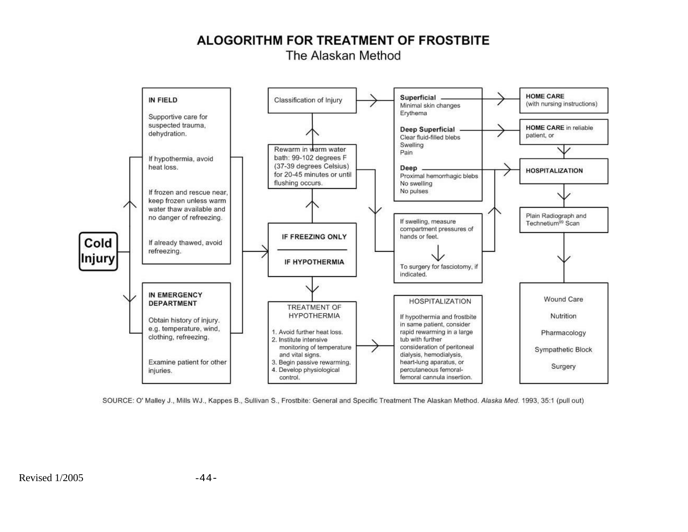#### ALOGORITHM FOR TREATMENT OF FROSTBITE The Alaskan Method



SOURCE: O' Malley J., Mills WJ., Kappes B., Sullivan S., Frostbite: General and Specific Treatment The Alaskan Method. Alaska Med. 1993, 35:1 (pull out)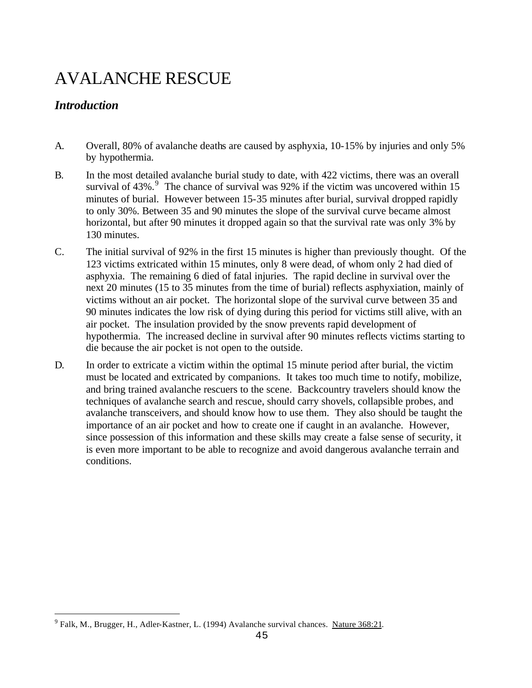#### *Introduction*

- A. Overall, 80% of avalanche deaths are caused by asphyxia, 10-15% by injuries and only 5% by hypothermia.
- B. In the most detailed avalanche burial study to date, with 422 victims, there was an overall survival of 43%.<sup>9</sup> The chance of survival was 92% if the victim was uncovered within 15 minutes of burial. However between 15-35 minutes after burial, survival dropped rapidly to only 30%. Between 35 and 90 minutes the slope of the survival curve became almost horizontal, but after 90 minutes it dropped again so that the survival rate was only 3% by 130 minutes.
- C. The initial survival of 92% in the first 15 minutes is higher than previously thought. Of the 123 victims extricated within 15 minutes, only 8 were dead, of whom only 2 had died of asphyxia. The remaining 6 died of fatal injuries. The rapid decline in survival over the next 20 minutes (15 to 35 minutes from the time of burial) reflects asphyxiation, mainly of victims without an air pocket. The horizontal slope of the survival curve between 35 and 90 minutes indicates the low risk of dying during this period for victims still alive, with an air pocket. The insulation provided by the snow prevents rapid development of hypothermia. The increased decline in survival after 90 minutes reflects victims starting to die because the air pocket is not open to the outside.
- D. In order to extricate a victim within the optimal 15 minute period after burial, the victim must be located and extricated by companions. It takes too much time to notify, mobilize, and bring trained avalanche rescuers to the scene. Backcountry travelers should know the techniques of avalanche search and rescue, should carry shovels, collapsible probes, and avalanche transceivers, and should know how to use them. They also should be taught the importance of an air pocket and how to create one if caught in an avalanche. However, since possession of this information and these skills may create a false sense of security, it is even more important to be able to recognize and avoid dangerous avalanche terrain and conditions.

<sup>&</sup>lt;sup>9</sup><br><sup>9</sup> Falk, M., Brugger, H., Adler-Kastner, L. (1994) Avalanche survival chances. Nature 368:21.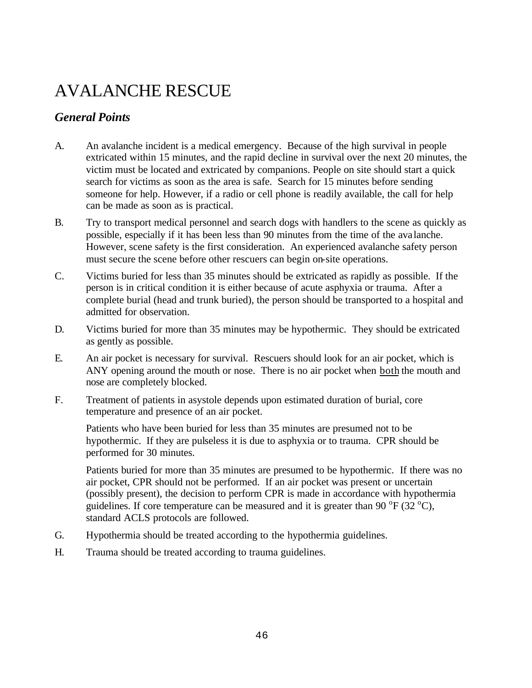#### *General Points*

- A. An avalanche incident is a medical emergency. Because of the high survival in people extricated within 15 minutes, and the rapid decline in survival over the next 20 minutes, the victim must be located and extricated by companions. People on site should start a quick search for victims as soon as the area is safe. Search for 15 minutes before sending someone for help. However, if a radio or cell phone is readily available, the call for help can be made as soon as is practical.
- B. Try to transport medical personnel and search dogs with handlers to the scene as quickly as possible, especially if it has been less than 90 minutes from the time of the ava lanche. However, scene safety is the first consideration. An experienced avalanche safety person must secure the scene before other rescuers can begin on-site operations.
- C. Victims buried for less than 35 minutes should be extricated as rapidly as possible. If the person is in critical condition it is either because of acute asphyxia or trauma. After a complete burial (head and trunk buried), the person should be transported to a hospital and admitted for observation.
- D. Victims buried for more than 35 minutes may be hypothermic. They should be extricated as gently as possible.
- E. An air pocket is necessary for survival. Rescuers should look for an air pocket, which is ANY opening around the mouth or nose. There is no air pocket when both the mouth and nose are completely blocked.
- F. Treatment of patients in asystole depends upon estimated duration of burial, core temperature and presence of an air pocket.

Patients who have been buried for less than 35 minutes are presumed not to be hypothermic. If they are pulseless it is due to asphyxia or to trauma. CPR should be performed for 30 minutes.

Patients buried for more than 35 minutes are presumed to be hypothermic. If there was no air pocket, CPR should not be performed. If an air pocket was present or uncertain (possibly present), the decision to perform CPR is made in accordance with hypothermia guidelines. If core temperature can be measured and it is greater than 90  $\rm{^{\circ}F}$  (32  $\rm{^{\circ}C}$ ), standard ACLS protocols are followed.

- G. Hypothermia should be treated according to the hypothermia guidelines.
- H. Trauma should be treated according to trauma guidelines.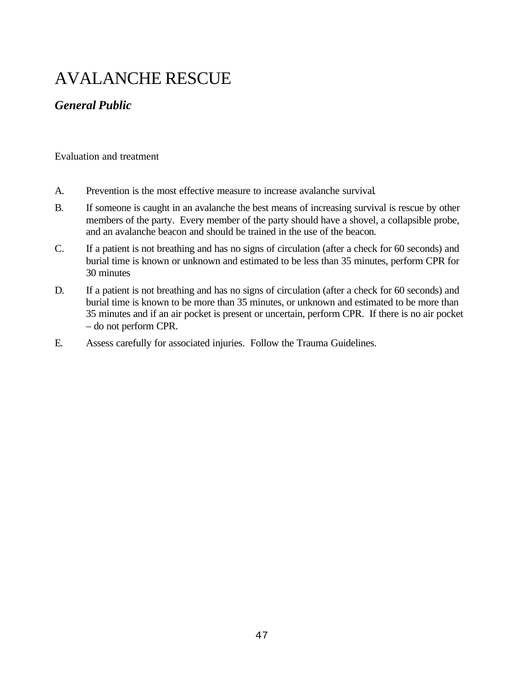#### *General Public*

- A. Prevention is the most effective measure to increase avalanche survival.
- B. If someone is caught in an avalanche the best means of increasing survival is rescue by other members of the party. Every member of the party should have a shovel, a collapsible probe, and an avalanche beacon and should be trained in the use of the beacon.
- C. If a patient is not breathing and has no signs of circulation (after a check for 60 seconds) and burial time is known or unknown and estimated to be less than 35 minutes, perform CPR for 30 minutes
- D. If a patient is not breathing and has no signs of circulation (after a check for 60 seconds) and burial time is known to be more than 35 minutes, or unknown and estimated to be more than 35 minutes and if an air pocket is present or uncertain, perform CPR. If there is no air pocket – do not perform CPR.
- E. Assess carefully for associated injuries. Follow the Trauma Guidelines.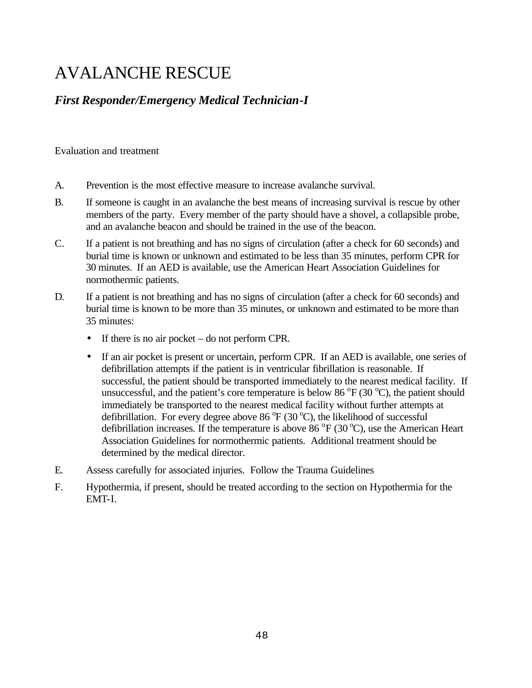#### *First Responder/Emergency Medical Technician-I*

- A. Prevention is the most effective measure to increase avalanche survival.
- B. If someone is caught in an avalanche the best means of increasing survival is rescue by other members of the party. Every member of the party should have a shovel, a collapsible probe, and an avalanche beacon and should be trained in the use of the beacon.
- C. If a patient is not breathing and has no signs of circulation (after a check for 60 seconds) and burial time is known or unknown and estimated to be less than 35 minutes, perform CPR for 30 minutes. If an AED is available, use the American Heart Association Guidelines for normothermic patients.
- D. If a patient is not breathing and has no signs of circulation (after a check for 60 seconds) and burial time is known to be more than 35 minutes, or unknown and estimated to be more than 35 minutes:
	- If there is no air pocket  $-$  do not perform CPR.
	- If an air pocket is present or uncertain, perform CPR. If an AED is available, one series of defibrillation attempts if the patient is in ventricular fibrillation is reasonable. If successful, the patient should be transported immediately to the nearest medical facility. If unsuccessful, and the patient's core temperature is below  $86\text{ °F}$  (30 °C), the patient should immediately be transported to the nearest medical facility without further attempts at defibrillation. For every degree above 86  $\rm{^oF}$  (30  $\rm{^oC}$ ), the likelihood of successful defibrillation increases. If the temperature is above 86  $\rm{^oF}$  (30  $\rm{^oC}$ ), use the American Heart Association Guidelines for normothermic patients. Additional treatment should be determined by the medical director.
- E. Assess carefully for associated injuries. Follow the Trauma Guidelines
- F. Hypothermia, if present, should be treated according to the section on Hypothermia for the EMT-I.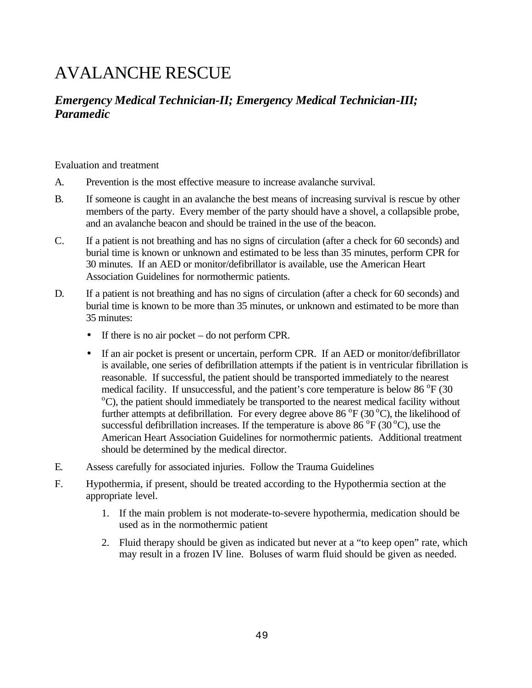#### *Emergency Medical Technician-II; Emergency Medical Technician-III; Paramedic*

- A. Prevention is the most effective measure to increase avalanche survival.
- B. If someone is caught in an avalanche the best means of increasing survival is rescue by other members of the party. Every member of the party should have a shovel, a collapsible probe, and an avalanche beacon and should be trained in the use of the beacon.
- C. If a patient is not breathing and has no signs of circulation (after a check for 60 seconds) and burial time is known or unknown and estimated to be less than 35 minutes, perform CPR for 30 minutes. If an AED or monitor/defibrillator is available, use the American Heart Association Guidelines for normothermic patients.
- D. If a patient is not breathing and has no signs of circulation (after a check for 60 seconds) and burial time is known to be more than 35 minutes, or unknown and estimated to be more than 35 minutes:
	- If there is no air pocket do not perform CPR.
	- If an air pocket is present or uncertain, perform CPR. If an AED or monitor/defibrillator is available, one series of defibrillation attempts if the patient is in ventricular fibrillation is reasonable. If successful, the patient should be transported immediately to the nearest medical facility. If unsuccessful, and the patient's core temperature is below 86 $\mathrm{^{\circ}F}$  (30  $\rm{^{\circ}C}$ ), the patient should immediately be transported to the nearest medical facility without further attempts at defibrillation. For every degree above 86  $\rm{^oF}$  (30  $\rm{^oC}$ ), the likelihood of successful defibrillation increases. If the temperature is above 86  $\rm{^oF}$  (30  $\rm{^oC}$ ), use the American Heart Association Guidelines for normothermic patients. Additional treatment should be determined by the medical director.
- E. Assess carefully for associated injuries. Follow the Trauma Guidelines
- F. Hypothermia, if present, should be treated according to the Hypothermia section at the appropriate level.
	- 1. If the main problem is not moderate-to-severe hypothermia, medication should be used as in the normothermic patient
	- 2. Fluid therapy should be given as indicated but never at a "to keep open" rate, which may result in a frozen IV line. Boluses of warm fluid should be given as needed.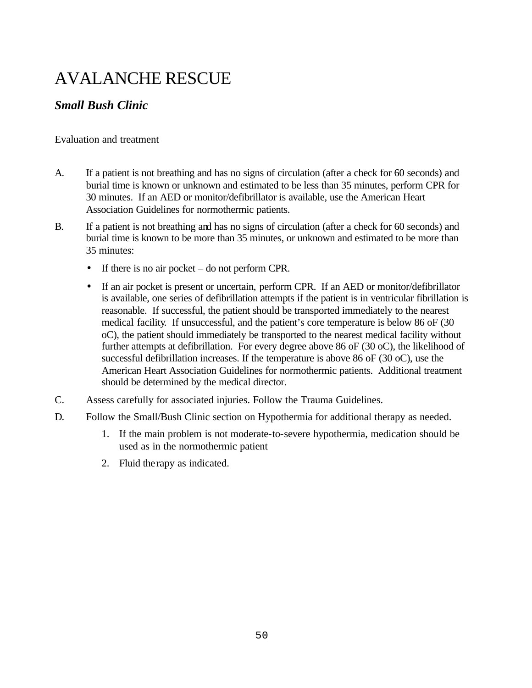#### *Small Bush Clinic*

- A. If a patient is not breathing and has no signs of circulation (after a check for 60 seconds) and burial time is known or unknown and estimated to be less than 35 minutes, perform CPR for 30 minutes. If an AED or monitor/defibrillator is available, use the American Heart Association Guidelines for normothermic patients.
- B. If a patient is not breathing and has no signs of circulation (after a check for 60 seconds) and burial time is known to be more than 35 minutes, or unknown and estimated to be more than 35 minutes:
	- If there is no air pocket  $-$  do not perform CPR.
	- If an air pocket is present or uncertain, perform CPR. If an AED or monitor/defibrillator is available, one series of defibrillation attempts if the patient is in ventricular fibrillation is reasonable. If successful, the patient should be transported immediately to the nearest medical facility. If unsuccessful, and the patient's core temperature is below 86 oF (30 oC), the patient should immediately be transported to the nearest medical facility without further attempts at defibrillation. For every degree above 86 oF (30 oC), the likelihood of successful defibrillation increases. If the temperature is above 86 oF (30 oC), use the American Heart Association Guidelines for normothermic patients. Additional treatment should be determined by the medical director.
- C. Assess carefully for associated injuries. Follow the Trauma Guidelines.
- D. Follow the Small/Bush Clinic section on Hypothermia for additional therapy as needed.
	- 1. If the main problem is not moderate-to-severe hypothermia, medication should be used as in the normothermic patient
	- 2. Fluid therapy as indicated.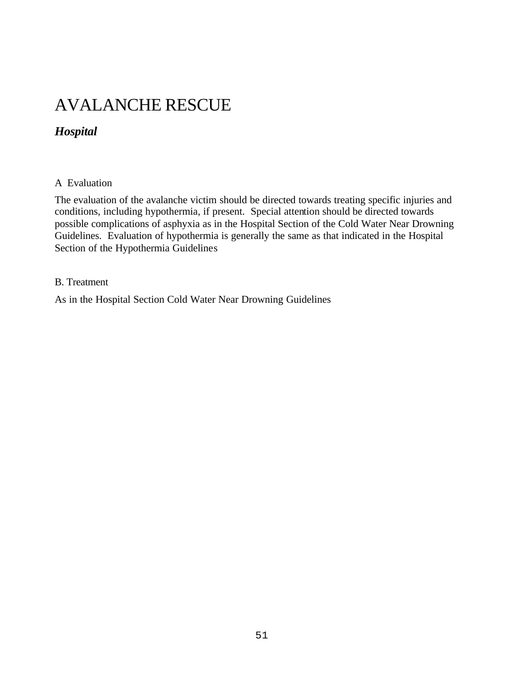#### *Hospital*

#### A Evaluation

The evaluation of the avalanche victim should be directed towards treating specific injuries and conditions, including hypothermia, if present. Special attention should be directed towards possible complications of asphyxia as in the Hospital Section of the Cold Water Near Drowning Guidelines. Evaluation of hypothermia is generally the same as that indicated in the Hospital Section of the Hypothermia Guidelines

#### B. Treatment

As in the Hospital Section Cold Water Near Drowning Guidelines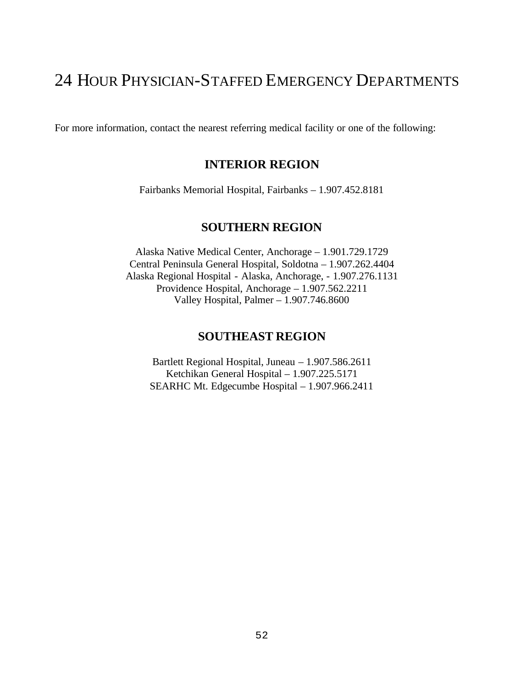### 24 HOUR PHYSICIAN-STAFFED EMERGENCY DEPARTMENTS

For more information, contact the nearest referring medical facility or one of the following:

#### **INTERIOR REGION**

Fairbanks Memorial Hospital, Fairbanks – 1.907.452.8181

#### **SOUTHERN REGION**

Alaska Native Medical Center, Anchorage – 1.901.729.1729 Central Peninsula General Hospital, Soldotna – 1.907.262.4404 Alaska Regional Hospital - Alaska, Anchorage, - 1.907.276.1131 Providence Hospital, Anchorage – 1.907.562.2211 Valley Hospital, Palmer – 1.907.746.8600

#### **SOUTHEAST REGION**

Bartlett Regional Hospital, Juneau – 1.907.586.2611 Ketchikan General Hospital – 1.907.225.5171 SEARHC Mt. Edgecumbe Hospital – 1.907.966.2411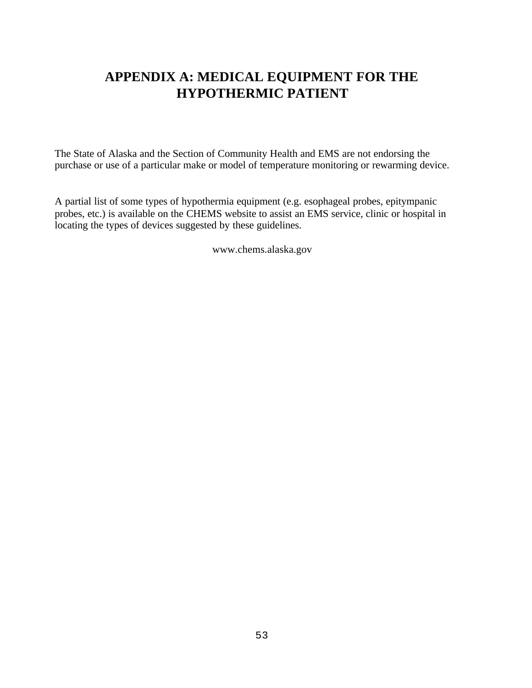### **APPENDIX A: MEDICAL EQUIPMENT FOR THE HYPOTHERMIC PATIENT**

The State of Alaska and the Section of Community Health and EMS are not endorsing the purchase or use of a particular make or model of temperature monitoring or rewarming device.

A partial list of some types of hypothermia equipment (e.g. esophageal probes, epitympanic probes, etc.) is available on the CHEMS website to assist an EMS service, clinic or hospital in locating the types of devices suggested by these guidelines.

www.chems.alaska.gov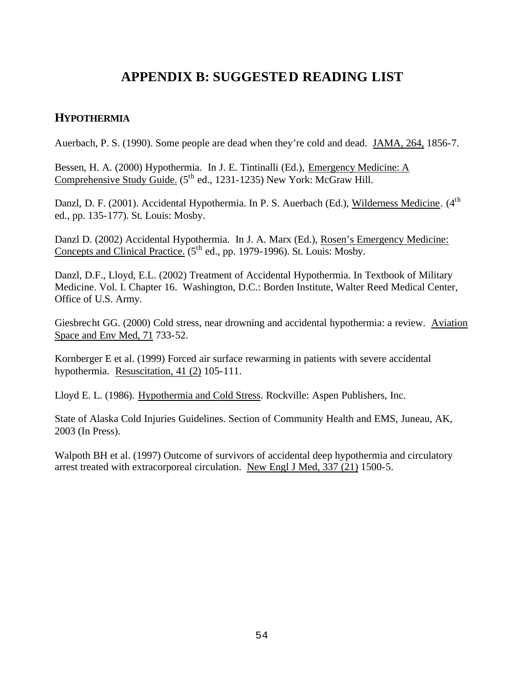### **APPENDIX B: SUGGESTED READING LIST**

#### **HYPOTHERMIA**

Auerbach, P. S. (1990). Some people are dead when they're cold and dead. JAMA, 264, 1856-7.

Bessen, H. A. (2000) Hypothermia. In J. E. Tintinalli (Ed.), Emergency Medicine: A Comprehensive Study Guide. (5<sup>th</sup> ed., 1231-1235) New York: McGraw Hill.

Danzl, D. F. (2001). Accidental Hypothermia. In P. S. Auerbach (Ed.), Wilderness Medicine. (4<sup>th</sup> ed., pp. 135-177). St. Louis: Mosby.

Danzl D. (2002) Accidental Hypothermia. In J. A. Marx (Ed.), Rosen's Emergency Medicine: Concepts and Clinical Practice.  $(5^{th}$  ed., pp. 1979-1996). St. Louis: Mosby.

Danzl, D.F., Lloyd, E.L. (2002) Treatment of Accidental Hypothermia. In Textbook of Military Medicine. Vol. I. Chapter 16. Washington, D.C.: Borden Institute, Walter Reed Medical Center, Office of U.S. Army.

Giesbrecht GG. (2000) Cold stress, near drowning and accidental hypothermia: a review. Aviation Space and Env Med, 71 733-52.

Kornberger E et al. (1999) Forced air surface rewarming in patients with severe accidental hypothermia. Resuscitation, 41 (2) 105-111.

Lloyd E. L. (1986). Hypothermia and Cold Stress. Rockville: Aspen Publishers, Inc.

State of Alaska Cold Injuries Guidelines. Section of Community Health and EMS, Juneau, AK, 2003 (In Press).

Walpoth BH et al. (1997) Outcome of survivors of accidental deep hypothermia and circulatory arrest treated with extracorporeal circulation. New Engl J Med, 337 (21) 1500-5.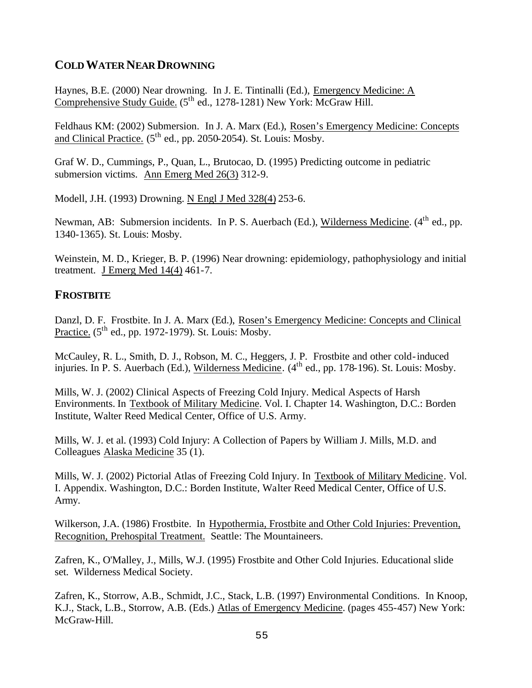Haynes, B.E. (2000) Near drowning. In J. E. Tintinalli (Ed.), Emergency Medicine: A Comprehensive Study Guide. (5<sup>th</sup> ed., 1278-1281) New York: McGraw Hill.

Feldhaus KM: (2002) Submersion. In J. A. Marx (Ed.), Rosen's Emergency Medicine: Concepts and Clinical Practice. (5<sup>th</sup> ed., pp. 2050-2054). St. Louis: Mosby.

Graf W. D., Cummings, P., Quan, L., Brutocao, D. (1995) Predicting outcome in pediatric submersion victims. Ann Emerg Med 26(3) 312-9.

Modell, J.H. (1993) Drowning. N Engl J Med 328(4) 253-6.

Newman, AB: Submersion incidents. In P. S. Auerbach (Ed.), Wilderness Medicine. (4<sup>th</sup> ed., pp. 1340-1365). St. Louis: Mosby.

Weinstein, M. D., Krieger, B. P. (1996) Near drowning: epidemiology, pathophysiology and initial treatment. J Emerg Med 14(4) 461-7.

#### **FROSTBITE**

Danzl, D. F. Frostbite. In J. A. Marx (Ed.), Rosen's Emergency Medicine: Concepts and Clinical Practice.  $(5^{th}$  ed., pp. 1972-1979). St. Louis: Mosby.

McCauley, R. L., Smith, D. J., Robson, M. C., Heggers, J. P. Frostbite and other cold-induced injuries. In P. S. Auerbach (Ed.), Wilderness Medicine. (4<sup>th</sup> ed., pp. 178-196). St. Louis: Mosby.

Mills, W. J. (2002) Clinical Aspects of Freezing Cold Injury. Medical Aspects of Harsh Environments. In Textbook of Military Medicine. Vol. I. Chapter 14. Washington, D.C.: Borden Institute, Walter Reed Medical Center, Office of U.S. Army.

Mills, W. J. et al. (1993) Cold Injury: A Collection of Papers by William J. Mills, M.D. and Colleagues Alaska Medicine 35 (1).

Mills, W. J. (2002) Pictorial Atlas of Freezing Cold Injury. In Textbook of Military Medicine. Vol. I. Appendix. Washington, D.C.: Borden Institute, Walter Reed Medical Center, Office of U.S. Army.

Wilkerson, J.A. (1986) Frostbite. In Hypothermia, Frostbite and Other Cold Injuries: Prevention, Recognition, Prehospital Treatment. Seattle: The Mountaineers.

Zafren, K., O'Malley, J., Mills, W.J. (1995) Frostbite and Other Cold Injuries. Educational slide set. Wilderness Medical Society.

Zafren, K., Storrow, A.B., Schmidt, J.C., Stack, L.B. (1997) Environmental Conditions. In Knoop, K.J., Stack, L.B., Storrow, A.B. (Eds.) Atlas of Emergency Medicine. (pages 455-457) New York: McGraw-Hill.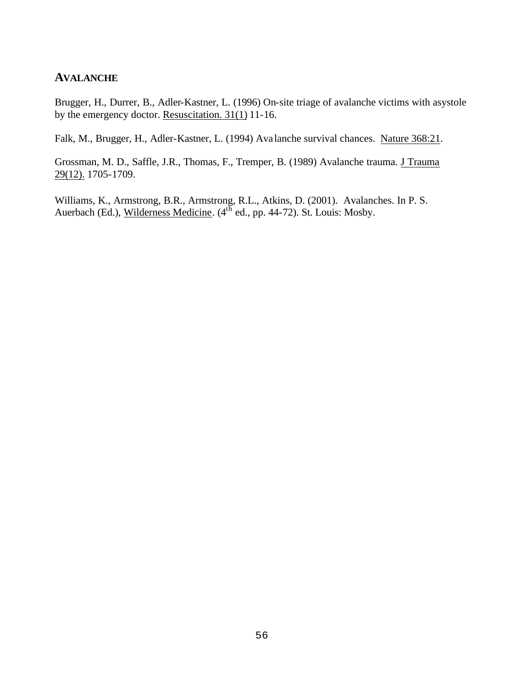#### **AVALANCHE**

Brugger, H., Durrer, B., Adler-Kastner, L. (1996) On-site triage of avalanche victims with asystole by the emergency doctor. Resuscitation. 31(1) 11-16.

Falk, M., Brugger, H., Adler-Kastner, L. (1994) Ava lanche survival chances. Nature 368:21.

Grossman, M. D., Saffle, J.R., Thomas, F., Tremper, B. (1989) Avalanche trauma. J Trauma 29(12). 1705-1709.

Williams, K., Armstrong, B.R., Armstrong, R.L., Atkins, D. (2001). Avalanches. In P. S. Auerbach (Ed.), Wilderness Medicine. (4<sup>th</sup> ed., pp. 44-72). St. Louis: Mosby.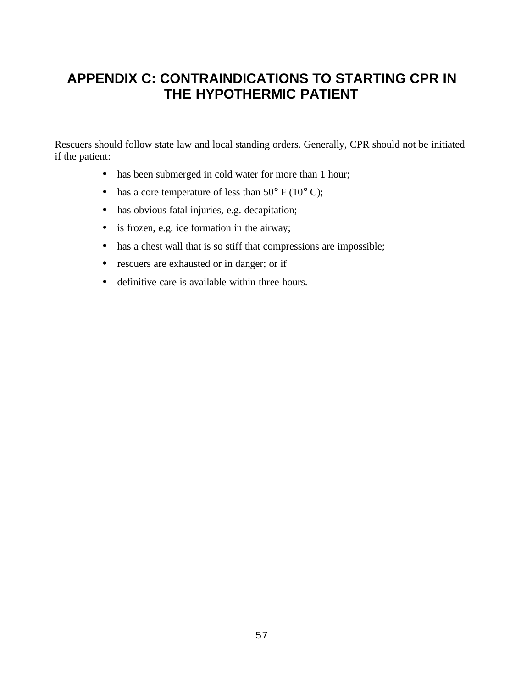### **APPENDIX C: CONTRAINDICATIONS TO STARTING CPR IN THE HYPOTHERMIC PATIENT**

Rescuers should follow state law and local standing orders. Generally, CPR should not be initiated if the patient:

- has been submerged in cold water for more than 1 hour;
- has a core temperature of less than  $50^{\circ}$  F (10° C);
- has obvious fatal injuries, e.g. decapitation;
- is frozen, e.g. ice formation in the airway;
- has a chest wall that is so stiff that compressions are impossible;
- rescuers are exhausted or in danger; or if
- definitive care is available within three hours.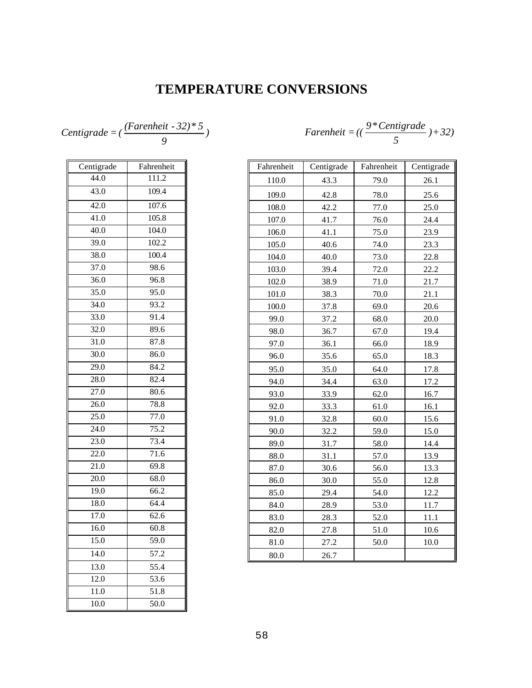### **TEMPERATURE CONVERSIONS**

| Centigrade $=$ ( $\frac{1}{2}$ ) | $(Farenheit - 32)*5$ |
|----------------------------------|----------------------|
|                                  |                      |

*Centigrade* =  $(\frac{1446 \text{ m/s}}{2})$  *Farenheit* =  $((\frac{566 \text{ m/s})}{2})+32)$ *5 9\*Centigrade Farenheit =((*

| Centigrade        | Fahrenheit | Fahrenheit | Centigr |
|-------------------|------------|------------|---------|
| 44.0              | 111.2      | 110.0      | 43.3    |
| 43.0              | 109.4      | 109.0      | 42.8    |
| 42.0              | 107.6      | 108.0      | 42.2    |
| 41.0              | 105.8      | 107.0      | 41.7    |
| 40.0              | 104.0      | 106.0      | 41.1    |
| 39.0              | 102.2      | 105.0      | 40.6    |
| 38.0              | 100.4      | 104.0      | 40.0    |
| 37.0              | 98.6       | 103.0      | 39.4    |
| 36.0              | 96.8       | 102.0      | 38.9    |
| 35.0              | 95.0       | 101.0      | 38.3    |
| 34.0              | 93.2       | 100.0      | 37.8    |
| 33.0              | 91.4       | 99.0       | 37.2    |
| 32.0              | 89.6       | 98.0       | 36.7    |
| 31.0              | 87.8       | 97.0       | 36.1    |
| 30.0              | 86.0       | 96.0       | 35.6    |
| 29.0              | 84.2       | 95.0       | 35.0    |
| 28.0              | 82.4       | 94.0       | 34.4    |
| 27.0              | 80.6       | 93.0       | 33.9    |
| 26.0              | 78.8       | 92.0       | 33.3    |
| 25.0              | 77.0       | 91.0       | 32.8    |
| 24.0              | 75.2       | 90.0       | 32.2    |
| 23.0              | 73.4       | 89.0       | 31.7    |
| 22.0              | 71.6       | 88.0       | 31.1    |
| 21.0              | 69.8       | 87.0       | 30.6    |
| 20.0              | 68.0       | 86.0       | 30.0    |
| 19.0              | 66.2       | 85.0       | 29.4    |
| 18.0              | 64.4       | 84.0       | 28.9    |
| 17.0              | 62.6       | 83.0       | 28.3    |
| 16.0              | 60.8       | 82.0       | 27.8    |
| 15.0              | 59.0       | 81.0       | 27.2    |
| $\overline{14.0}$ | 57.2       | 80.0       | 26.7    |
| 13.0              | 55.4       |            |         |
| 12.0              | 53.6       |            |         |
| 11.0              | 51.8       |            |         |
| 10.0              | 50.0       |            |         |

| Centigrade | Fahrenheit | Fahrenheit | Centigrade | Fahrenheit | Centigrade |
|------------|------------|------------|------------|------------|------------|
| 44.0       | 111.2      | 110.0      | 43.3       | 79.0       | 26.1       |
| 43.0       | 109.4      | 109.0      | 42.8       | 78.0       | 25.6       |
| 42.0       | 107.6      | 108.0      | 42.2       | 77.0       | 25.0       |
| 41.0       | 105.8      | 107.0      | 41.7       | 76.0       | 24.4       |
| 40.0       | 104.0      | 106.0      | 41.1       | 75.0       | 23.9       |
| 39.0       | 102.2      | 105.0      | 40.6       | 74.0       | 23.3       |
| 38.0       | 100.4      | 104.0      | 40.0       | 73.0       | 22.8       |
| 37.0       | 98.6       | 103.0      | 39.4       | 72.0       | 22.2       |
| 36.0       | 96.8       | 102.0      | 38.9       | 71.0       | 21.7       |
| 35.0       | 95.0       | 101.0      | 38.3       | 70.0       | 21.1       |
| 34.0       | 93.2       | 100.0      | 37.8       | 69.0       | 20.6       |
| 33.0       | 91.4       | 99.0       | 37.2       | 68.0       | 20.0       |
| 32.0       | 89.6       | 98.0       | 36.7       | 67.0       | 19.4       |
| 31.0       | 87.8       | 97.0       | 36.1       | 66.0       | 18.9       |
| 30.0       | 86.0       | 96.0       | 35.6       | 65.0       | 18.3       |
| 29.0       | 84.2       | 95.0       | 35.0       | 64.0       | 17.8       |
| 28.0       | 82.4       | 94.0       | 34.4       | 63.0       | 17.2       |
| 27.0       | 80.6       | 93.0       | 33.9       | 62.0       | 16.7       |
| 26.0       | 78.8       | 92.0       | 33.3       | 61.0       | 16.1       |
| 25.0       | 77.0       | 91.0       | 32.8       | 60.0       | 15.6       |
| 24.0       | 75.2       | 90.0       | 32.2       | 59.0       | 15.0       |
| 23.0       | 73.4       | 89.0       | 31.7       | 58.0       | 14.4       |
| 22.0       | 71.6       | 88.0       | 31.1       | 57.0       | 13.9       |
| 21.0       | 69.8       | 87.0       | 30.6       | 56.0       | 13.3       |
| 20.0       | 68.0       | 86.0       | 30.0       | 55.0       | 12.8       |
| 19.0       | 66.2       | 85.0       | 29.4       | 54.0       | 12.2       |
| 18.0       | 64.4       | 84.0       | 28.9       | 53.0       | 11.7       |
| 17.0       | 62.6       | 83.0       | 28.3       | 52.0       | 11.1       |
| 16.0       | 60.8       | 82.0       | 27.8       | 51.0       | 10.6       |
| 15.0       | 59.0       | 81.0       | 27.2       | 50.0       | 10.0       |
| 14.0       | 57.2       | 80.0       | 26.7       |            |            |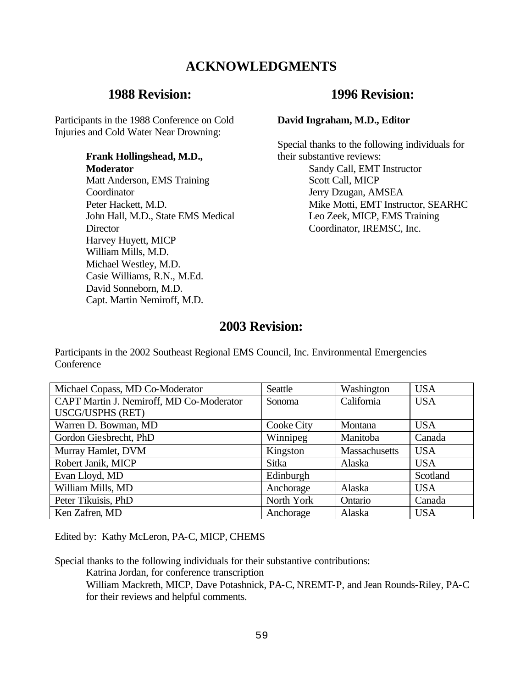#### **ACKNOWLEDGMENTS**

#### **1988 Revision:**

Participants in the 1988 Conference on Cold Injuries and Cold Water Near Drowning:

#### **Frank Hollingshead, M.D., Moderator** Matt Anderson, EMS Training Coordinator

Peter Hackett, M.D. John Hall, M.D., State EMS Medical **Director** Harvey Huyett, MICP William Mills, M.D. Michael Westley, M.D. Casie Williams, R.N., M.Ed. David Sonneborn, M.D. Capt. Martin Nemiroff, M.D.

#### **1996 Revision:**

#### **David Ingraham, M.D., Editor**

Special thanks to the following individuals for their substantive reviews: Sandy Call, EMT Instructor Scott Call, MICP Jerry Dzugan, AMSEA Mike Motti, EMT Instructor, SEARHC Leo Zeek, MICP, EMS Training Coordinator, IREMSC, Inc.

#### **2003 Revision:**

Participants in the 2002 Southeast Regional EMS Council, Inc. Environmental Emergencies **Conference** 

| Michael Copass, MD Co-Moderator          | Seattle       | Washington    | <b>USA</b> |
|------------------------------------------|---------------|---------------|------------|
| CAPT Martin J. Nemiroff, MD Co-Moderator | <b>Sonoma</b> | California    | <b>USA</b> |
| <b>USCG/USPHS (RET)</b>                  |               |               |            |
| Warren D. Bowman, MD                     | Cooke City    | Montana       | <b>USA</b> |
| Gordon Giesbrecht, PhD                   | Winnipeg      | Manitoba      | Canada     |
| Murray Hamlet, DVM                       | Kingston      | Massachusetts | <b>USA</b> |
| Robert Janik, MICP                       | <b>Sitka</b>  | Alaska        | <b>USA</b> |
| Evan Lloyd, MD                           | Edinburgh     |               | Scotland   |
| William Mills, MD                        | Anchorage     | Alaska        | <b>USA</b> |
| Peter Tikuisis, PhD                      | North York    | Ontario       | Canada     |
| Ken Zafren, MD                           | Anchorage     | Alaska        | <b>USA</b> |

Edited by: Kathy McLeron, PA-C, MICP, CHEMS

Special thanks to the following individuals for their substantive contributions:

Katrina Jordan, for conference transcription

William Mackreth, MICP, Dave Potashnick, PA-C, NREMT-P, and Jean Rounds-Riley, PA-C for their reviews and helpful comments.